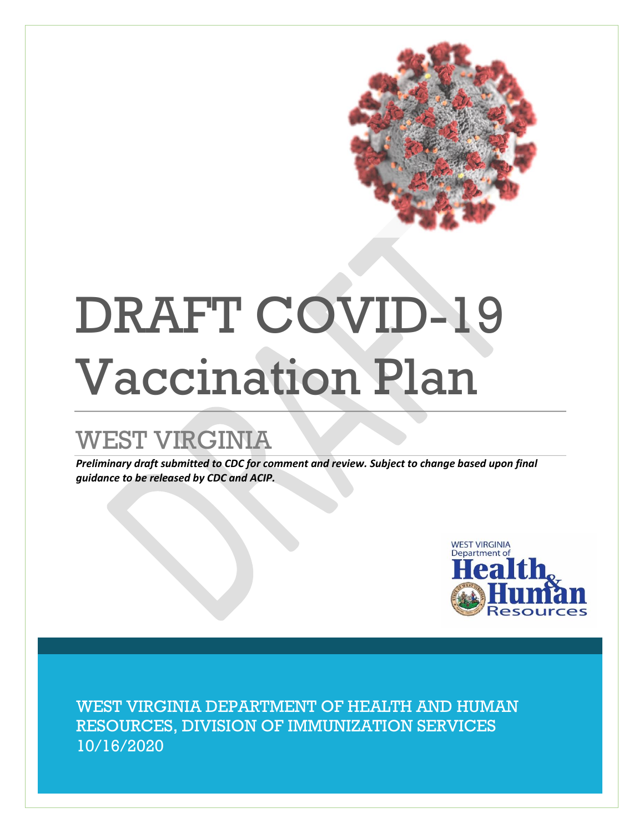

# DRAFT COVID-19 Vaccination Plan

## WEST VIRGINIA

*Preliminary draft submitted to CDC for comment and review. Subject to change based upon final guidance to be released by CDC and ACIP.*



WEST VIRGINIA DEPARTMENT OF HEALTH AND HUMAN RESOURCES, DIVISION OF IMMUNIZATION SERVICES 10/16/2020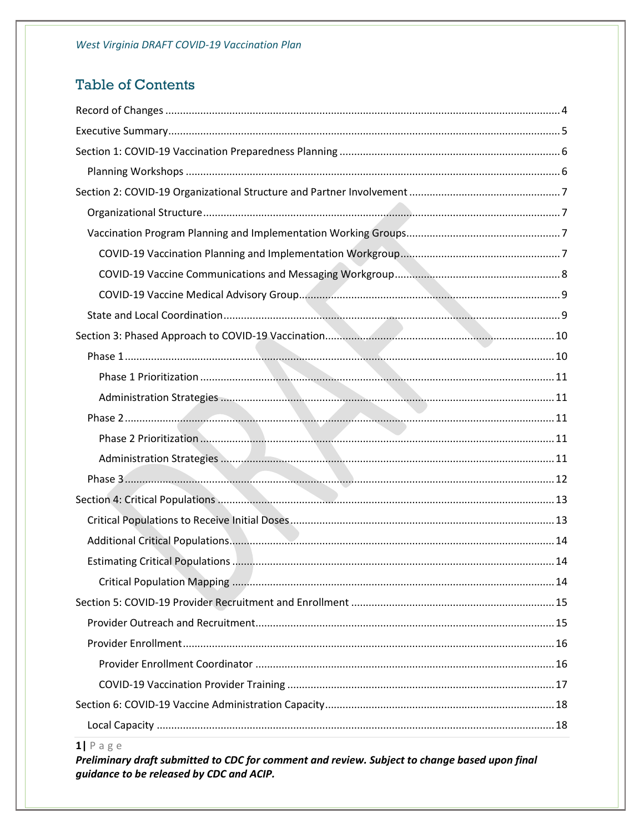## **Table of Contents**

 $1$ | Page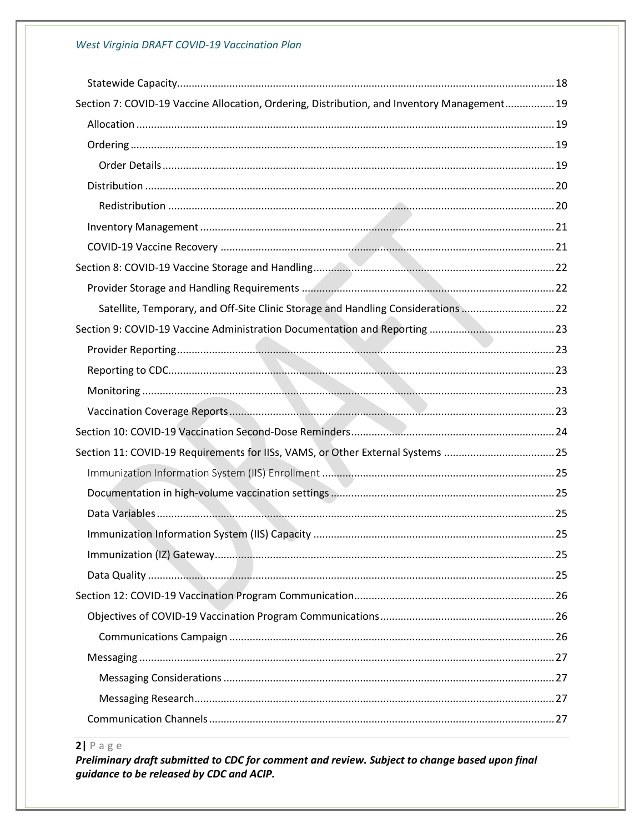#### West Virginia DRAFT COVID-19 Vaccination Plan

| Section 7: COVID-19 Vaccine Allocation, Ordering, Distribution, and Inventory Management 19 |  |
|---------------------------------------------------------------------------------------------|--|
|                                                                                             |  |
|                                                                                             |  |
|                                                                                             |  |
|                                                                                             |  |
|                                                                                             |  |
|                                                                                             |  |
|                                                                                             |  |
|                                                                                             |  |
|                                                                                             |  |
| Satellite, Temporary, and Off-Site Clinic Storage and Handling Considerations 22            |  |
|                                                                                             |  |
|                                                                                             |  |
|                                                                                             |  |
|                                                                                             |  |
|                                                                                             |  |
|                                                                                             |  |
|                                                                                             |  |
| Section 11: COVID-19 Requirements for IISs, VAMS, or Other External Systems 25              |  |
|                                                                                             |  |
|                                                                                             |  |
|                                                                                             |  |
|                                                                                             |  |
|                                                                                             |  |
|                                                                                             |  |
|                                                                                             |  |
|                                                                                             |  |
|                                                                                             |  |
|                                                                                             |  |
|                                                                                             |  |
|                                                                                             |  |

#### $2$ | Page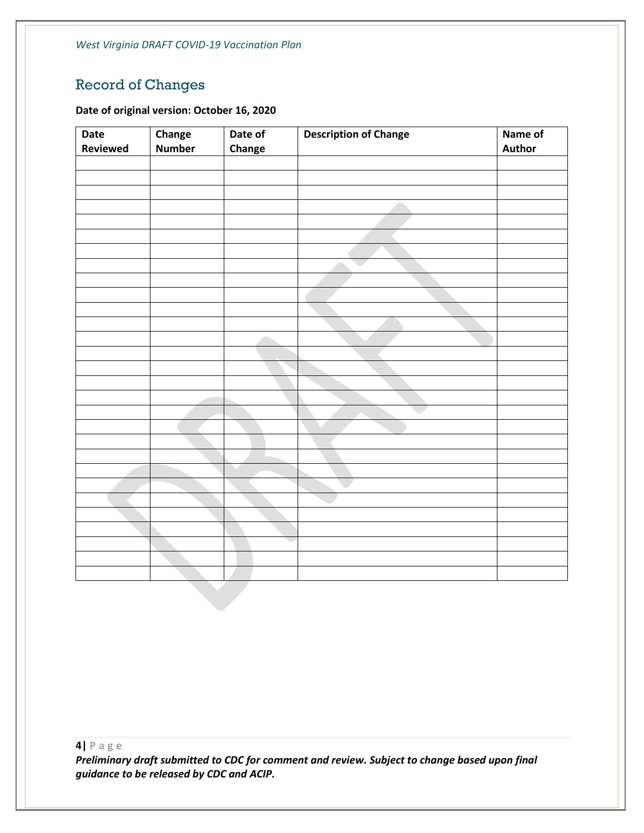*West Virginia DRAFT COVID-19 Vaccination Plan*

## <span id="page-4-0"></span>Record of Changes

#### **Date of original version: October 16, 2020**

| Date     | Change        | Date of | <b>Description of Change</b> | Name of |
|----------|---------------|---------|------------------------------|---------|
| Reviewed | <b>Number</b> | Change  |                              | Author  |
|          |               |         |                              |         |
|          |               |         |                              |         |
|          |               |         |                              |         |
|          |               |         |                              |         |
|          |               |         |                              |         |
|          |               |         |                              |         |
|          |               |         |                              |         |
|          |               |         |                              |         |
|          |               |         |                              |         |
|          |               |         |                              |         |
|          |               |         |                              |         |
|          |               |         |                              |         |
|          |               |         |                              |         |
|          |               |         |                              |         |
|          |               |         |                              |         |
|          |               |         |                              |         |
|          |               |         |                              |         |
|          |               |         |                              |         |
|          |               |         |                              |         |
|          |               |         |                              |         |
|          |               |         |                              |         |
|          |               |         |                              |         |
|          |               |         |                              |         |
|          |               |         |                              |         |
|          |               |         |                              |         |
|          |               |         |                              |         |
|          |               |         |                              |         |
|          |               |         |                              |         |
|          |               |         |                              |         |
|          |               |         |                              |         |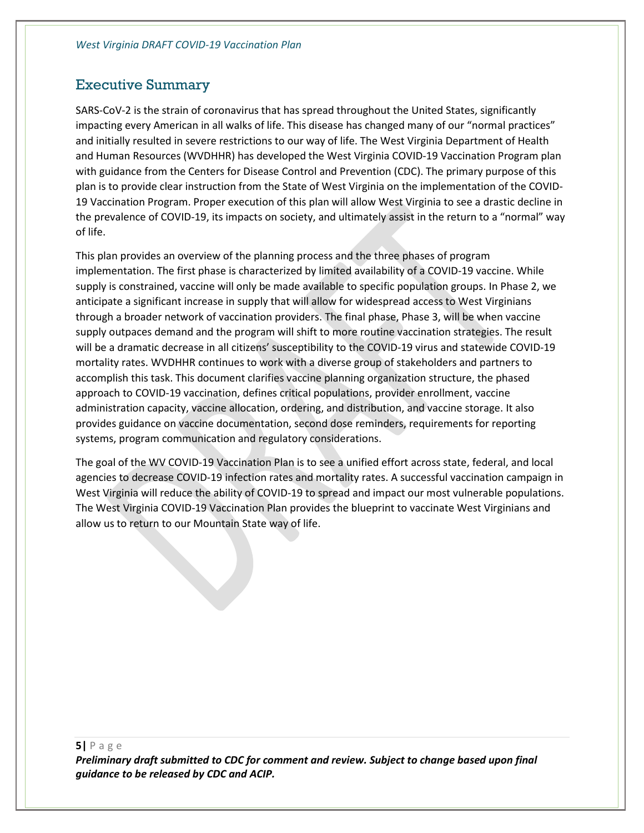#### <span id="page-5-0"></span>Executive Summary

SARS-CoV-2 is the strain of coronavirus that has spread throughout the United States, significantly impacting every American in all walks of life. This disease has changed many of our "normal practices" and initially resulted in severe restrictions to our way of life. The West Virginia Department of Health and Human Resources (WVDHHR) has developed the West Virginia COVID-19 Vaccination Program plan with guidance from the Centers for Disease Control and Prevention (CDC). The primary purpose of this plan is to provide clear instruction from the State of West Virginia on the implementation of the COVID-19 Vaccination Program. Proper execution of this plan will allow West Virginia to see a drastic decline in the prevalence of COVID-19, its impacts on society, and ultimately assist in the return to a "normal" way of life.

This plan provides an overview of the planning process and the three phases of program implementation. The first phase is characterized by limited availability of a COVID-19 vaccine. While supply is constrained, vaccine will only be made available to specific population groups. In Phase 2, we anticipate a significant increase in supply that will allow for widespread access to West Virginians through a broader network of vaccination providers. The final phase, Phase 3, will be when vaccine supply outpaces demand and the program will shift to more routine vaccination strategies. The result will be a dramatic decrease in all citizens' susceptibility to the COVID-19 virus and statewide COVID-19 mortality rates. WVDHHR continues to work with a diverse group of stakeholders and partners to accomplish this task. This document clarifies vaccine planning organization structure, the phased approach to COVID-19 vaccination, defines critical populations, provider enrollment, vaccine administration capacity, vaccine allocation, ordering, and distribution, and vaccine storage. It also provides guidance on vaccine documentation, second dose reminders, requirements for reporting systems, program communication and regulatory considerations.

The goal of the WV COVID-19 Vaccination Plan is to see a unified effort across state, federal, and local agencies to decrease COVID-19 infection rates and mortality rates. A successful vaccination campaign in West Virginia will reduce the ability of COVID-19 to spread and impact our most vulnerable populations. The West Virginia COVID-19 Vaccination Plan provides the blueprint to vaccinate West Virginians and allow us to return to our Mountain State way of life.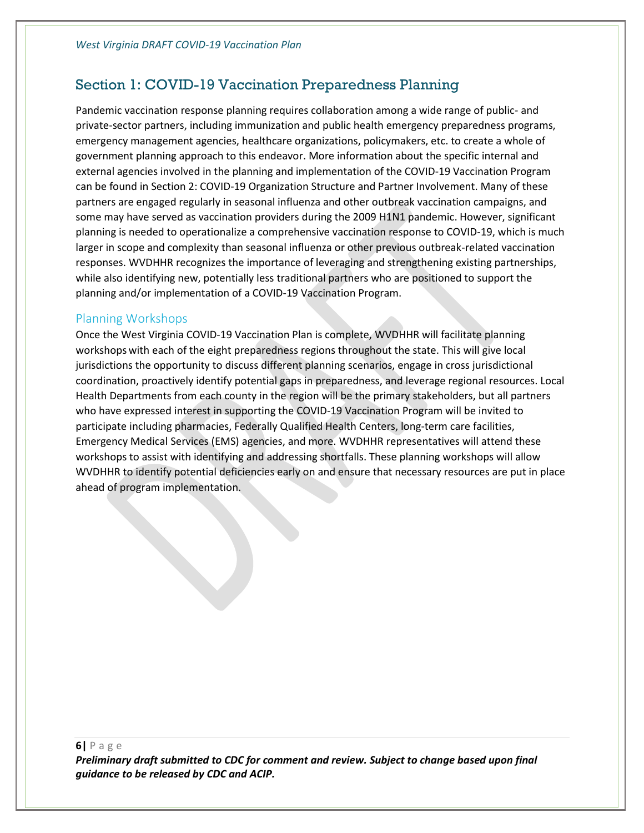## <span id="page-6-0"></span>Section 1: COVID-19 Vaccination Preparedness Planning

Pandemic vaccination response planning requires collaboration among a wide range of public- and private-sector partners, including immunization and public health emergency preparedness programs, emergency management agencies, healthcare organizations, policymakers, etc. to create a whole of government planning approach to this endeavor. More information about the specific internal and external agencies involved in the planning and implementation of the COVID-19 Vaccination Program can be found in Section 2: COVID-19 Organization Structure and Partner Involvement. Many of these partners are engaged regularly in seasonal influenza and other outbreak vaccination campaigns, and some may have served as vaccination providers during the 2009 H1N1 pandemic. However, significant planning is needed to operationalize a comprehensive vaccination response to COVID-19, which is much larger in scope and complexity than seasonal influenza or other previous outbreak-related vaccination responses. WVDHHR recognizes the importance of leveraging and strengthening existing partnerships, while also identifying new, potentially less traditional partners who are positioned to support the planning and/or implementation of a COVID-19 Vaccination Program.

#### <span id="page-6-1"></span>Planning Workshops

Once the West Virginia COVID-19 Vaccination Plan is complete, WVDHHR will facilitate planning workshops with each of the eight preparedness regions throughout the state. This will give local jurisdictions the opportunity to discuss different planning scenarios, engage in cross jurisdictional coordination, proactively identify potential gaps in preparedness, and leverage regional resources. Local Health Departments from each county in the region will be the primary stakeholders, but all partners who have expressed interest in supporting the COVID-19 Vaccination Program will be invited to participate including pharmacies, Federally Qualified Health Centers, long-term care facilities, Emergency Medical Services (EMS) agencies, and more. WVDHHR representatives will attend these workshops to assist with identifying and addressing shortfalls. These planning workshops will allow WVDHHR to identify potential deficiencies early on and ensure that necessary resources are put in place ahead of program implementation.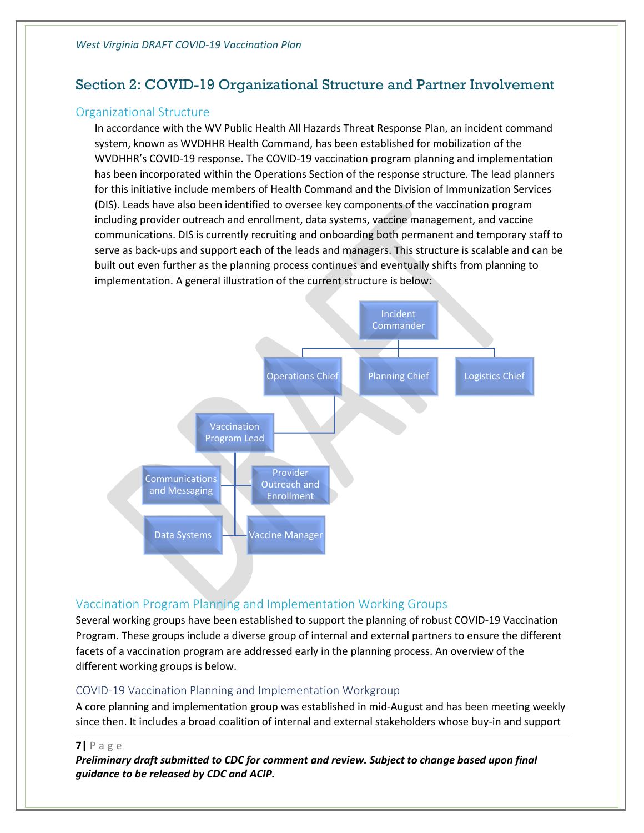## <span id="page-7-0"></span>Section 2: COVID-19 Organizational Structure and Partner Involvement

#### <span id="page-7-1"></span>Organizational Structure

In accordance with the WV Public Health All Hazards Threat Response Plan, an incident command system, known as WVDHHR Health Command, has been established for mobilization of the WVDHHR's COVID-19 response. The COVID-19 vaccination program planning and implementation has been incorporated within the Operations Section of the response structure. The lead planners for this initiative include members of Health Command and the Division of Immunization Services (DIS). Leads have also been identified to oversee key components of the vaccination program including provider outreach and enrollment, data systems, vaccine management, and vaccine communications. DIS is currently recruiting and onboarding both permanent and temporary staff to serve as back-ups and support each of the leads and managers. This structure is scalable and can be built out even further as the planning process continues and eventually shifts from planning to implementation. A general illustration of the current structure is below:



#### <span id="page-7-2"></span>Vaccination Program Planning and Implementation Working Groups

Several working groups have been established to support the planning of robust COVID-19 Vaccination Program. These groups include a diverse group of internal and external partners to ensure the different facets of a vaccination program are addressed early in the planning process. An overview of the different working groups is below.

#### <span id="page-7-3"></span>COVID-19 Vaccination Planning and Implementation Workgroup

A core planning and implementation group was established in mid-August and has been meeting weekly since then. It includes a broad coalition of internal and external stakeholders whose buy-in and support

**7|** P a g e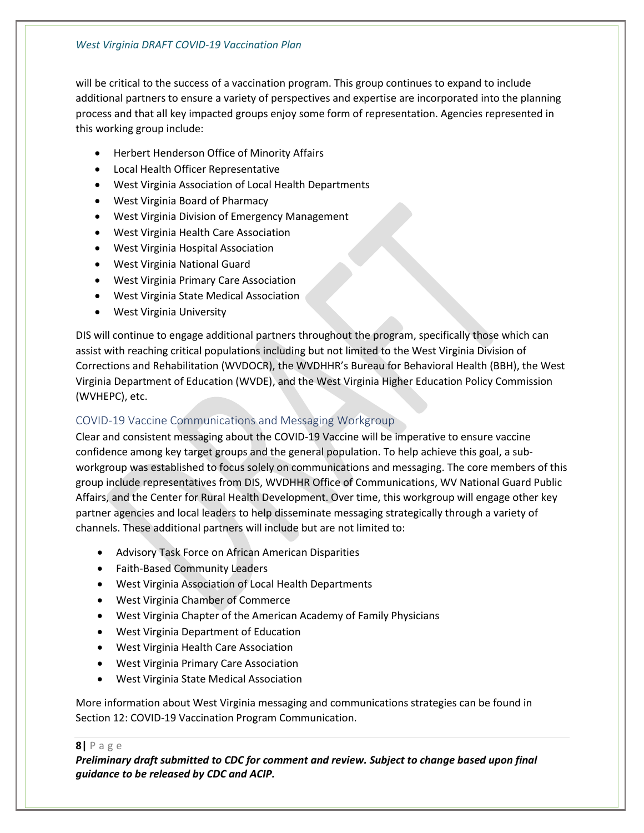#### *West Virginia DRAFT COVID-19 Vaccination Plan*

will be critical to the success of a vaccination program. This group continues to expand to include additional partners to ensure a variety of perspectives and expertise are incorporated into the planning process and that all key impacted groups enjoy some form of representation. Agencies represented in this working group include:

- Herbert Henderson Office of Minority Affairs
- Local Health Officer Representative
- West Virginia Association of Local Health Departments
- West Virginia Board of Pharmacy
- West Virginia Division of Emergency Management
- West Virginia Health Care Association
- West Virginia Hospital Association
- West Virginia National Guard
- West Virginia Primary Care Association
- West Virginia State Medical Association
- West Virginia University

DIS will continue to engage additional partners throughout the program, specifically those which can assist with reaching critical populations including but not limited to the West Virginia Division of Corrections and Rehabilitation (WVDOCR), the WVDHHR's Bureau for Behavioral Health (BBH), the West Virginia Department of Education (WVDE), and the West Virginia Higher Education Policy Commission (WVHEPC), etc.

#### <span id="page-8-0"></span>COVID-19 Vaccine Communications and Messaging Workgroup

Clear and consistent messaging about the COVID-19 Vaccine will be imperative to ensure vaccine confidence among key target groups and the general population. To help achieve this goal, a subworkgroup was established to focus solely on communications and messaging. The core members of this group include representatives from DIS, WVDHHR Office of Communications, WV National Guard Public Affairs, and the Center for Rural Health Development. Over time, this workgroup will engage other key partner agencies and local leaders to help disseminate messaging strategically through a variety of channels. These additional partners will include but are not limited to:

- Advisory Task Force on African American Disparities
- Faith-Based Community Leaders
- West Virginia Association of Local Health Departments
- West Virginia Chamber of Commerce
- West Virginia Chapter of the American Academy of Family Physicians
- West Virginia Department of Education
- West Virginia Health Care Association
- West Virginia Primary Care Association
- West Virginia State Medical Association

More information about West Virginia messaging and communications strategies can be found in Section 12: COVID-19 Vaccination Program Communication.

#### **8|** P a g e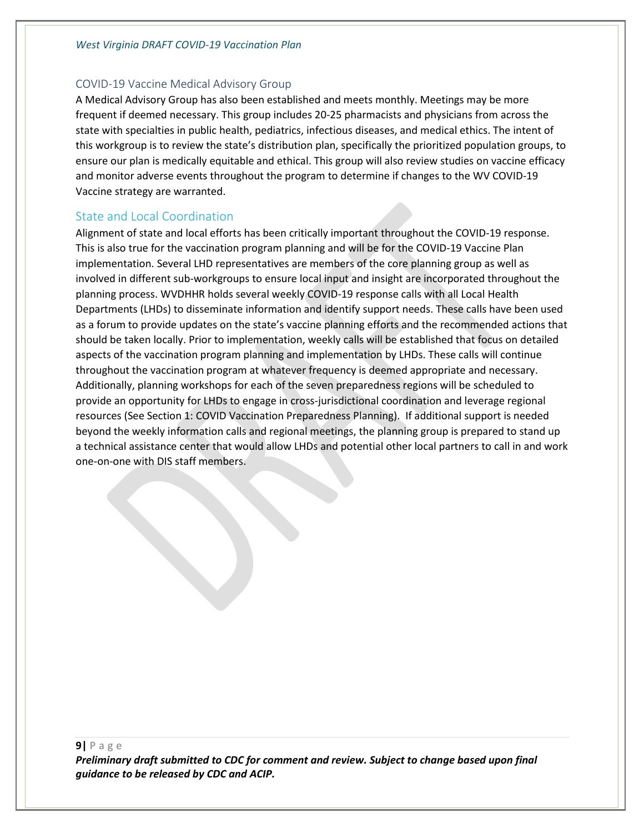#### <span id="page-9-0"></span>COVID-19 Vaccine Medical Advisory Group

A Medical Advisory Group has also been established and meets monthly. Meetings may be more frequent if deemed necessary. This group includes 20-25 pharmacists and physicians from across the state with specialties in public health, pediatrics, infectious diseases, and medical ethics. The intent of this workgroup is to review the state's distribution plan, specifically the prioritized population groups, to ensure our plan is medically equitable and ethical. This group will also review studies on vaccine efficacy and monitor adverse events throughout the program to determine if changes to the WV COVID-19 Vaccine strategy are warranted.

#### <span id="page-9-1"></span>State and Local Coordination

Alignment of state and local efforts has been critically important throughout the COVID-19 response. This is also true for the vaccination program planning and will be for the COVID-19 Vaccine Plan implementation. Several LHD representatives are members of the core planning group as well as involved in different sub-workgroups to ensure local input and insight are incorporated throughout the planning process. WVDHHR holds several weekly COVID-19 response calls with all Local Health Departments (LHDs) to disseminate information and identify support needs. These calls have been used as a forum to provide updates on the state's vaccine planning efforts and the recommended actions that should be taken locally. Prior to implementation, weekly calls will be established that focus on detailed aspects of the vaccination program planning and implementation by LHDs. These calls will continue throughout the vaccination program at whatever frequency is deemed appropriate and necessary. Additionally, planning workshops for each of the seven preparedness regions will be scheduled to provide an opportunity for LHDs to engage in cross-jurisdictional coordination and leverage regional resources (See Section 1: COVID Vaccination Preparedness Planning). If additional support is needed beyond the weekly information calls and regional meetings, the planning group is prepared to stand up a technical assistance center that would allow LHDs and potential other local partners to call in and work one-on-one with DIS staff members.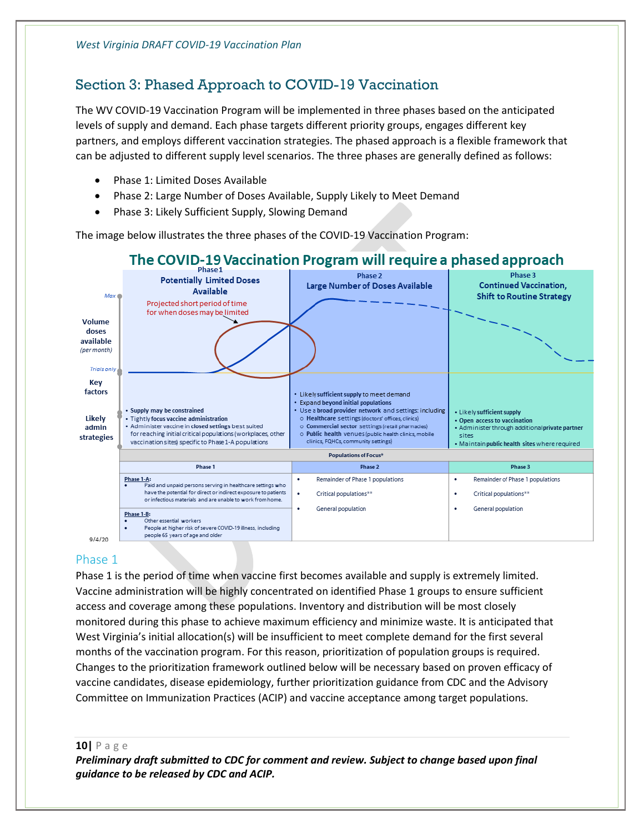## <span id="page-10-0"></span>Section 3: Phased Approach to COVID-19 Vaccination

The WV COVID-19 Vaccination Program will be implemented in three phases based on the anticipated levels of supply and demand. Each phase targets different priority groups, engages different key partners, and employs different vaccination strategies. The phased approach is a flexible framework that can be adjusted to different supply level scenarios. The three phases are generally defined as follows:

- Phase 1: Limited Doses Available
- Phase 2: Large Number of Doses Available, Supply Likely to Meet Demand
- Phase 3: Likely Sufficient Supply, Slowing Demand

The image below illustrates the three phases of the COVID-19 Vaccination Program:



#### <span id="page-10-1"></span>Phase 1

Phase 1 is the period of time when vaccine first becomes available and supply is extremely limited. Vaccine administration will be highly concentrated on identified Phase 1 groups to ensure sufficient access and coverage among these populations. Inventory and distribution will be most closely monitored during this phase to achieve maximum efficiency and minimize waste. It is anticipated that West Virginia's initial allocation(s) will be insufficient to meet complete demand for the first several months of the vaccination program. For this reason, prioritization of population groups is required. Changes to the prioritization framework outlined below will be necessary based on proven efficacy of vaccine candidates, disease epidemiology, further prioritization guidance from CDC and the Advisory Committee on Immunization Practices (ACIP) and vaccine acceptance among target populations.

**10|** P a g e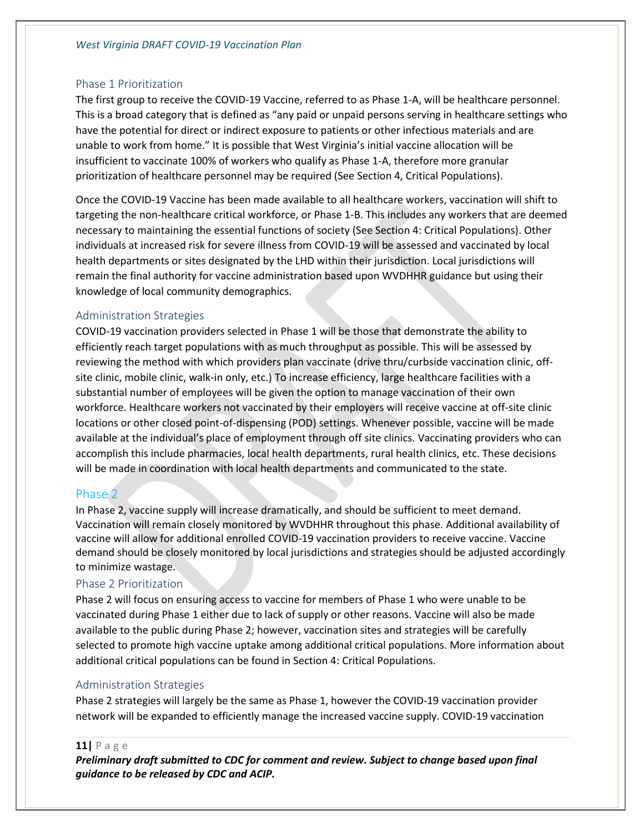#### <span id="page-11-0"></span>Phase 1 Prioritization

The first group to receive the COVID-19 Vaccine, referred to as Phase 1-A, will be healthcare personnel. This is a broad category that is defined as "any paid or unpaid persons serving in healthcare settings who have the potential for direct or indirect exposure to patients or other infectious materials and are unable to work from home." It is possible that West Virginia's initial vaccine allocation will be insufficient to vaccinate 100% of workers who qualify as Phase 1-A, therefore more granular prioritization of healthcare personnel may be required (See Section 4, Critical Populations).

Once the COVID-19 Vaccine has been made available to all healthcare workers, vaccination will shift to targeting the non-healthcare critical workforce, or Phase 1-B. This includes any workers that are deemed necessary to maintaining the essential functions of society (See Section 4: Critical Populations). Other individuals at increased risk for severe illness from COVID-19 will be assessed and vaccinated by local health departments or sites designated by the LHD within their jurisdiction. Local jurisdictions will remain the final authority for vaccine administration based upon WVDHHR guidance but using their knowledge of local community demographics.

#### <span id="page-11-1"></span>Administration Strategies

COVID-19 vaccination providers selected in Phase 1 will be those that demonstrate the ability to efficiently reach target populations with as much throughput as possible. This will be assessed by reviewing the method with which providers plan vaccinate (drive thru/curbside vaccination clinic, offsite clinic, mobile clinic, walk-in only, etc.) To increase efficiency, large healthcare facilities with a substantial number of employees will be given the option to manage vaccination of their own workforce. Healthcare workers not vaccinated by their employers will receive vaccine at off-site clinic locations or other closed point-of-dispensing (POD) settings. Whenever possible, vaccine will be made available at the individual's place of employment through off site clinics. Vaccinating providers who can accomplish this include pharmacies, local health departments, rural health clinics, etc. These decisions will be made in coordination with local health departments and communicated to the state.

#### <span id="page-11-2"></span>Phase 2

In Phase 2, vaccine supply will increase dramatically, and should be sufficient to meet demand. Vaccination will remain closely monitored by WVDHHR throughout this phase. Additional availability of vaccine will allow for additional enrolled COVID-19 vaccination providers to receive vaccine. Vaccine demand should be closely monitored by local jurisdictions and strategies should be adjusted accordingly to minimize wastage.

#### <span id="page-11-3"></span>Phase 2 Prioritization

Phase 2 will focus on ensuring access to vaccine for members of Phase 1 who were unable to be vaccinated during Phase 1 either due to lack of supply or other reasons. Vaccine will also be made available to the public during Phase 2; however, vaccination sites and strategies will be carefully selected to promote high vaccine uptake among additional critical populations. More information about additional critical populations can be found in Section 4: Critical Populations.

#### <span id="page-11-4"></span>Administration Strategies

Phase 2 strategies will largely be the same as Phase 1, however the COVID-19 vaccination provider network will be expanded to efficiently manage the increased vaccine supply. COVID-19 vaccination

#### **11|** P a g e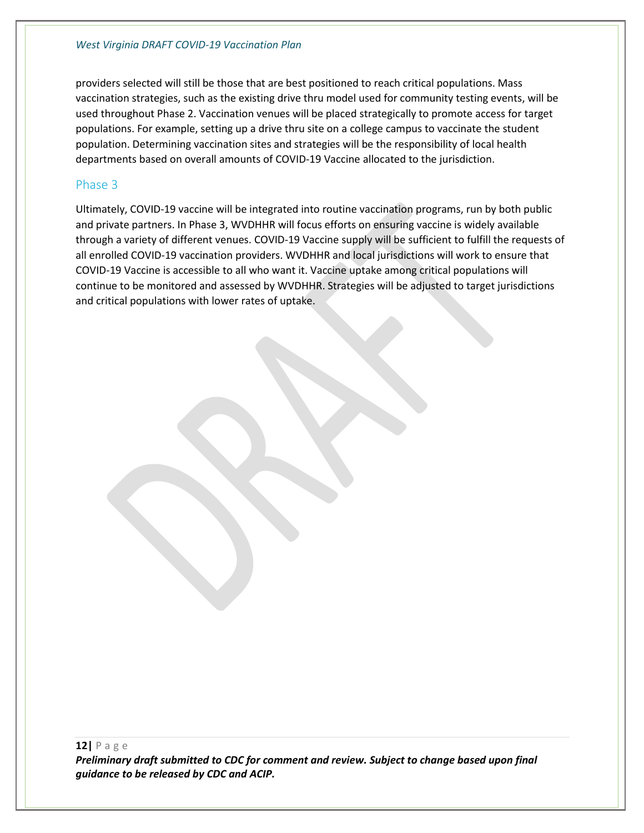providers selected will still be those that are best positioned to reach critical populations. Mass vaccination strategies, such as the existing drive thru model used for community testing events, will be used throughout Phase 2. Vaccination venues will be placed strategically to promote access for target populations. For example, setting up a drive thru site on a college campus to vaccinate the student population. Determining vaccination sites and strategies will be the responsibility of local health departments based on overall amounts of COVID-19 Vaccine allocated to the jurisdiction.

#### <span id="page-12-0"></span>Phase 3

Ultimately, COVID-19 vaccine will be integrated into routine vaccination programs, run by both public and private partners. In Phase 3, WVDHHR will focus efforts on ensuring vaccine is widely available through a variety of different venues. COVID-19 Vaccine supply will be sufficient to fulfill the requests of all enrolled COVID-19 vaccination providers. WVDHHR and local jurisdictions will work to ensure that COVID-19 Vaccine is accessible to all who want it. Vaccine uptake among critical populations will continue to be monitored and assessed by WVDHHR. Strategies will be adjusted to target jurisdictions and critical populations with lower rates of uptake.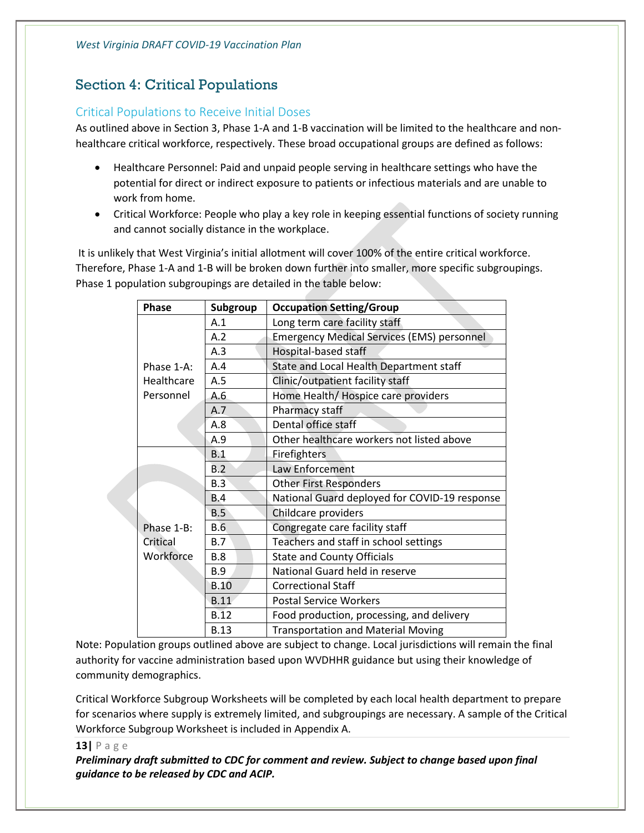## <span id="page-13-0"></span>Section 4: Critical Populations

#### <span id="page-13-1"></span>Critical Populations to Receive Initial Doses

As outlined above in Section 3, Phase 1-A and 1-B vaccination will be limited to the healthcare and nonhealthcare critical workforce, respectively. These broad occupational groups are defined as follows:

- Healthcare Personnel: Paid and unpaid people serving in healthcare settings who have the potential for direct or indirect exposure to patients or infectious materials and are unable to work from home.
- Critical Workforce: People who play a key role in keeping essential functions of society running and cannot socially distance in the workplace.

It is unlikely that West Virginia's initial allotment will cover 100% of the entire critical workforce. Therefore, Phase 1-A and 1-B will be broken down further into smaller, more specific subgroupings. Phase 1 population subgroupings are detailed in the table below:

| <b>Phase</b> | Subgroup    | <b>Occupation Setting/Group</b>                   |  |  |  |
|--------------|-------------|---------------------------------------------------|--|--|--|
|              | A.1         | Long term care facility staff                     |  |  |  |
|              | A.2         | <b>Emergency Medical Services (EMS) personnel</b> |  |  |  |
|              | A.3         | Hospital-based staff                              |  |  |  |
| Phase 1-A:   | A.4         | State and Local Health Department staff           |  |  |  |
| Healthcare   | A.5         | Clinic/outpatient facility staff                  |  |  |  |
| Personnel    | A.6         | Home Health/ Hospice care providers               |  |  |  |
|              | A.7         | Pharmacy staff                                    |  |  |  |
|              | A.8         | Dental office staff                               |  |  |  |
|              | A.9         | Other healthcare workers not listed above         |  |  |  |
|              | B.1         | Firefighters                                      |  |  |  |
|              | B.2         | Law Enforcement                                   |  |  |  |
|              | B.3         | <b>Other First Responders</b>                     |  |  |  |
|              | B.4         | National Guard deployed for COVID-19 response     |  |  |  |
|              | B.5         | Childcare providers                               |  |  |  |
| Phase 1-B:   | B.6         | Congregate care facility staff                    |  |  |  |
| Critical     | B.7         | Teachers and staff in school settings             |  |  |  |
| Workforce    | <b>B.8</b>  | <b>State and County Officials</b>                 |  |  |  |
|              | <b>B.9</b>  | National Guard held in reserve                    |  |  |  |
|              | <b>B.10</b> | <b>Correctional Staff</b>                         |  |  |  |
|              | <b>B.11</b> | <b>Postal Service Workers</b>                     |  |  |  |
|              | B.12        | Food production, processing, and delivery         |  |  |  |
|              | <b>B.13</b> | <b>Transportation and Material Moving</b>         |  |  |  |

Note: Population groups outlined above are subject to change. Local jurisdictions will remain the final authority for vaccine administration based upon WVDHHR guidance but using their knowledge of community demographics.

Critical Workforce Subgroup Worksheets will be completed by each local health department to prepare for scenarios where supply is extremely limited, and subgroupings are necessary. A sample of the Critical Workforce Subgroup Worksheet is included in Appendix A.

**13|** P a g e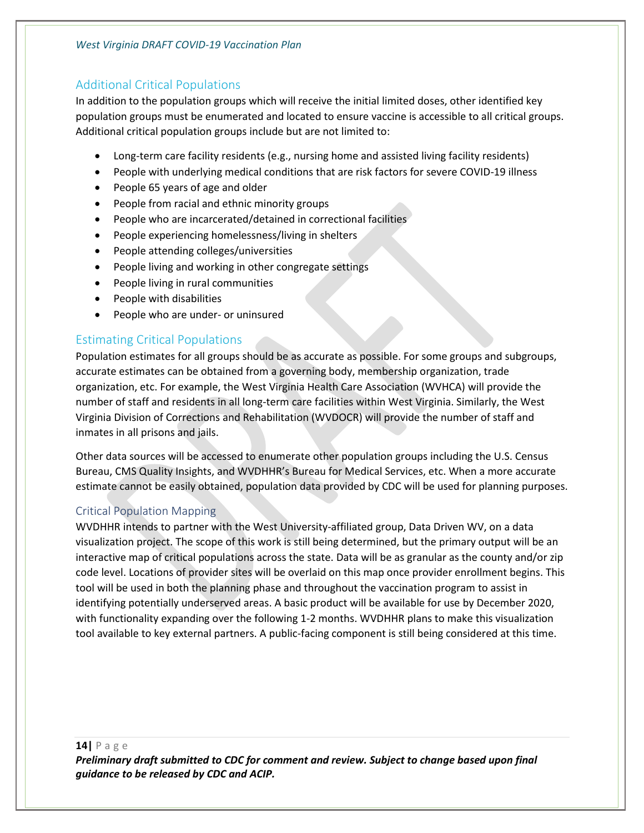#### *West Virginia DRAFT COVID-19 Vaccination Plan*

#### <span id="page-14-0"></span>Additional Critical Populations

In addition to the population groups which will receive the initial limited doses, other identified key population groups must be enumerated and located to ensure vaccine is accessible to all critical groups. Additional critical population groups include but are not limited to:

- Long-term care facility residents (e.g., nursing home and assisted living facility residents)
- People with underlying medical conditions that are risk factors for severe COVID-19 illness
- People 65 years of age and older
- People from racial and ethnic minority groups
- People who are incarcerated/detained in correctional facilities
- People experiencing homelessness/living in shelters
- People attending colleges/universities
- People living and working in other congregate settings
- People living in rural communities
- People with disabilities
- People who are under- or uninsured

#### <span id="page-14-1"></span>Estimating Critical Populations

Population estimates for all groups should be as accurate as possible. For some groups and subgroups, accurate estimates can be obtained from a governing body, membership organization, trade organization, etc. For example, the West Virginia Health Care Association (WVHCA) will provide the number of staff and residents in all long-term care facilities within West Virginia. Similarly, the West Virginia Division of Corrections and Rehabilitation (WVDOCR) will provide the number of staff and inmates in all prisons and jails.

Other data sources will be accessed to enumerate other population groups including the U.S. Census Bureau, CMS Quality Insights, and WVDHHR's Bureau for Medical Services, etc. When a more accurate estimate cannot be easily obtained, population data provided by CDC will be used for planning purposes.

#### <span id="page-14-2"></span>Critical Population Mapping

WVDHHR intends to partner with the West University-affiliated group, Data Driven WV, on a data visualization project. The scope of this work is still being determined, but the primary output will be an interactive map of critical populations across the state. Data will be as granular as the county and/or zip code level. Locations of provider sites will be overlaid on this map once provider enrollment begins. This tool will be used in both the planning phase and throughout the vaccination program to assist in identifying potentially underserved areas. A basic product will be available for use by December 2020, with functionality expanding over the following 1-2 months. WVDHHR plans to make this visualization tool available to key external partners. A public-facing component is still being considered at this time.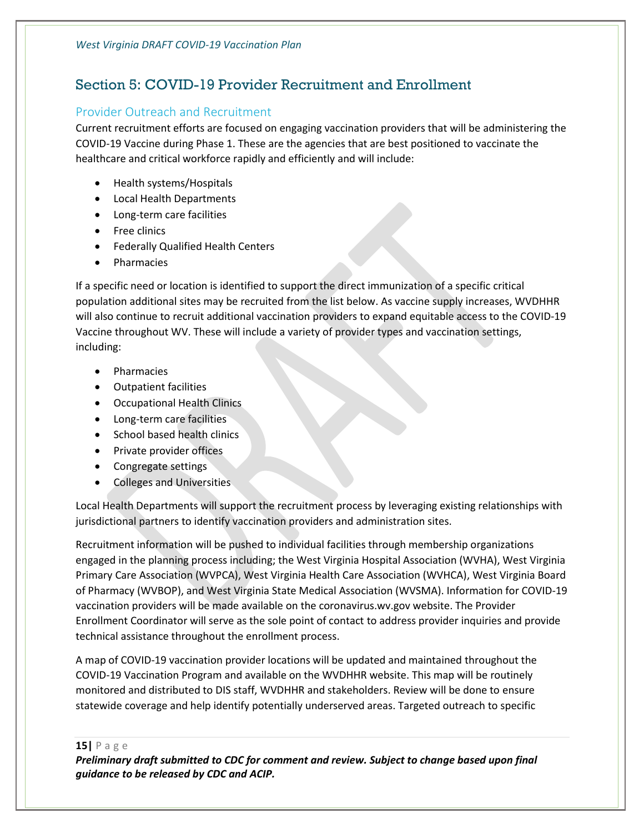## <span id="page-15-0"></span>Section 5: COVID-19 Provider Recruitment and Enrollment

#### <span id="page-15-1"></span>Provider Outreach and Recruitment

Current recruitment efforts are focused on engaging vaccination providers that will be administering the COVID-19 Vaccine during Phase 1. These are the agencies that are best positioned to vaccinate the healthcare and critical workforce rapidly and efficiently and will include:

- Health systems/Hospitals
- Local Health Departments
- Long-term care facilities
- Free clinics
- Federally Qualified Health Centers
- Pharmacies

If a specific need or location is identified to support the direct immunization of a specific critical population additional sites may be recruited from the list below. As vaccine supply increases, WVDHHR will also continue to recruit additional vaccination providers to expand equitable access to the COVID-19 Vaccine throughout WV. These will include a variety of provider types and vaccination settings, including:

- Pharmacies
- Outpatient facilities
- Occupational Health Clinics
- Long-term care facilities
- School based health clinics
- Private provider offices
- Congregate settings
- Colleges and Universities

Local Health Departments will support the recruitment process by leveraging existing relationships with jurisdictional partners to identify vaccination providers and administration sites.

Recruitment information will be pushed to individual facilities through membership organizations engaged in the planning process including; the West Virginia Hospital Association (WVHA), West Virginia Primary Care Association (WVPCA), West Virginia Health Care Association (WVHCA), West Virginia Board of Pharmacy (WVBOP), and West Virginia State Medical Association (WVSMA). Information for COVID-19 vaccination providers will be made available on the coronavirus.wv.gov website. The Provider Enrollment Coordinator will serve as the sole point of contact to address provider inquiries and provide technical assistance throughout the enrollment process.

A map of COVID-19 vaccination provider locations will be updated and maintained throughout the COVID-19 Vaccination Program and available on the WVDHHR website. This map will be routinely monitored and distributed to DIS staff, WVDHHR and stakeholders. Review will be done to ensure statewide coverage and help identify potentially underserved areas. Targeted outreach to specific

**15|** P a g e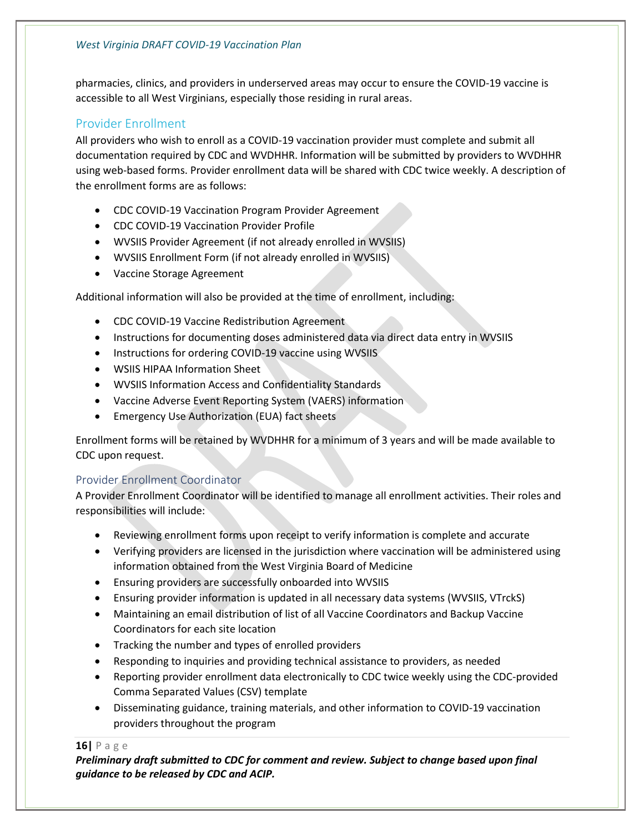pharmacies, clinics, and providers in underserved areas may occur to ensure the COVID-19 vaccine is accessible to all West Virginians, especially those residing in rural areas.

#### <span id="page-16-0"></span>Provider Enrollment

All providers who wish to enroll as a COVID-19 vaccination provider must complete and submit all documentation required by CDC and WVDHHR. Information will be submitted by providers to WVDHHR using web-based forms. Provider enrollment data will be shared with CDC twice weekly. A description of the enrollment forms are as follows:

- CDC COVID-19 Vaccination Program Provider Agreement
- CDC COVID-19 Vaccination Provider Profile
- WVSIIS Provider Agreement (if not already enrolled in WVSIIS)
- WVSIIS Enrollment Form (if not already enrolled in WVSIIS)
- Vaccine Storage Agreement

Additional information will also be provided at the time of enrollment, including:

- CDC COVID-19 Vaccine Redistribution Agreement
- Instructions for documenting doses administered data via direct data entry in WVSIIS
- Instructions for ordering COVID-19 vaccine using WVSIIS
- WSIIS HIPAA Information Sheet
- WVSIIS Information Access and Confidentiality Standards
- Vaccine Adverse Event Reporting System (VAERS) information
- Emergency Use Authorization (EUA) fact sheets

Enrollment forms will be retained by WVDHHR for a minimum of 3 years and will be made available to CDC upon request.

#### <span id="page-16-1"></span>Provider Enrollment Coordinator

A Provider Enrollment Coordinator will be identified to manage all enrollment activities. Their roles and responsibilities will include:

- Reviewing enrollment forms upon receipt to verify information is complete and accurate
- Verifying providers are licensed in the jurisdiction where vaccination will be administered using information obtained from the West Virginia Board of Medicine
- Ensuring providers are successfully onboarded into WVSIIS
- Ensuring provider information is updated in all necessary data systems (WVSIIS, VTrckS)
- Maintaining an email distribution of list of all Vaccine Coordinators and Backup Vaccine Coordinators for each site location
- Tracking the number and types of enrolled providers
- Responding to inquiries and providing technical assistance to providers, as needed
- Reporting provider enrollment data electronically to CDC twice weekly using the CDC-provided Comma Separated Values (CSV) template
- Disseminating guidance, training materials, and other information to COVID-19 vaccination providers throughout the program

#### **16|** P a g e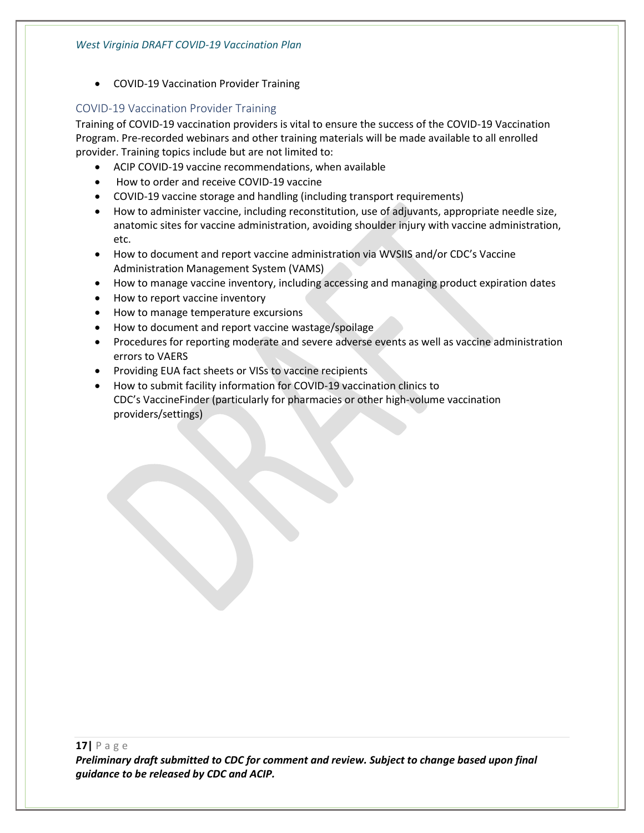• COVID-19 Vaccination Provider Training

#### <span id="page-17-0"></span>COVID-19 Vaccination Provider Training

Training of COVID-19 vaccination providers is vital to ensure the success of the COVID-19 Vaccination Program. Pre-recorded webinars and other training materials will be made available to all enrolled provider. Training topics include but are not limited to:

- ACIP COVID-19 vaccine recommendations, when available
- How to order and receive COVID-19 vaccine
- COVID-19 vaccine storage and handling (including transport requirements)
- How to administer vaccine, including reconstitution, use of adjuvants, appropriate needle size, anatomic sites for vaccine administration, avoiding shoulder injury with vaccine administration, etc.
- How to document and report vaccine administration via WVSIIS and/or CDC's Vaccine Administration Management System (VAMS)
- How to manage vaccine inventory, including accessing and managing product expiration dates
- How to report vaccine inventory
- How to manage temperature excursions
- How to document and report vaccine wastage/spoilage
- Procedures for reporting moderate and severe adverse events as well as vaccine administration errors to VAERS
- Providing EUA fact sheets or VISs to vaccine recipients
- How to submit facility information for COVID-19 vaccination clinics to CDC's VaccineFinder (particularly for pharmacies or other high-volume vaccination providers/settings)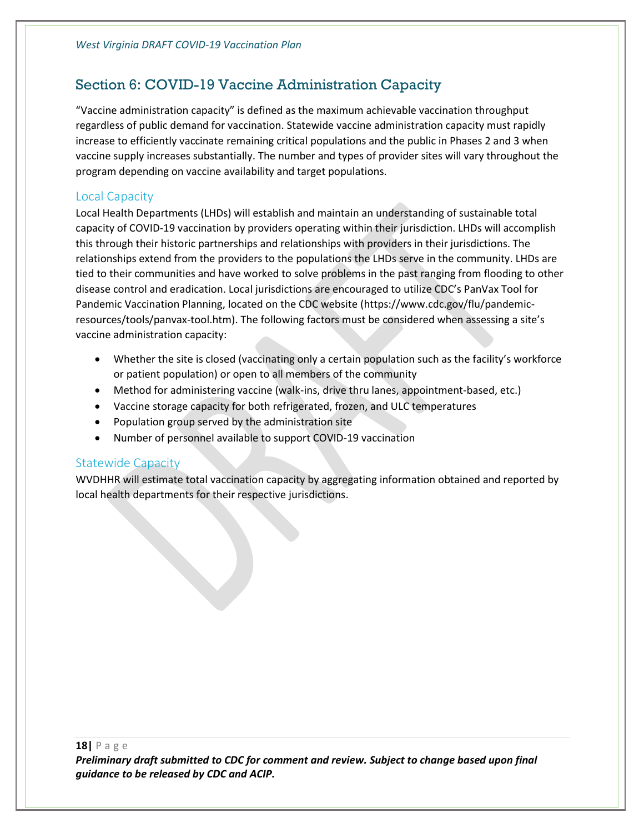## <span id="page-18-0"></span>Section 6: COVID-19 Vaccine Administration Capacity

"Vaccine administration capacity" is defined as the maximum achievable vaccination throughput regardless of public demand for vaccination. Statewide vaccine administration capacity must rapidly increase to efficiently vaccinate remaining critical populations and the public in Phases 2 and 3 when vaccine supply increases substantially. The number and types of provider sites will vary throughout the program depending on vaccine availability and target populations.

#### <span id="page-18-1"></span>Local Capacity

Local Health Departments (LHDs) will establish and maintain an understanding of sustainable total capacity of COVID-19 vaccination by providers operating within their jurisdiction. LHDs will accomplish this through their historic partnerships and relationships with providers in their jurisdictions. The relationships extend from the providers to the populations the LHDs serve in the community. LHDs are tied to their communities and have worked to solve problems in the past ranging from flooding to other disease control and eradication. Local jurisdictions are encouraged to utilize CDC's PanVax Tool for Pandemic Vaccination Planning, located on the CDC website (https://www.cdc.gov/flu/pandemicresources/tools/panvax-tool.htm). The following factors must be considered when assessing a site's vaccine administration capacity:

- Whether the site is closed (vaccinating only a certain population such as the facility's workforce or patient population) or open to all members of the community
- Method for administering vaccine (walk-ins, drive thru lanes, appointment-based, etc.)
- Vaccine storage capacity for both refrigerated, frozen, and ULC temperatures
- Population group served by the administration site
- Number of personnel available to support COVID-19 vaccination

#### <span id="page-18-2"></span>Statewide Capacity

WVDHHR will estimate total vaccination capacity by aggregating information obtained and reported by local health departments for their respective jurisdictions.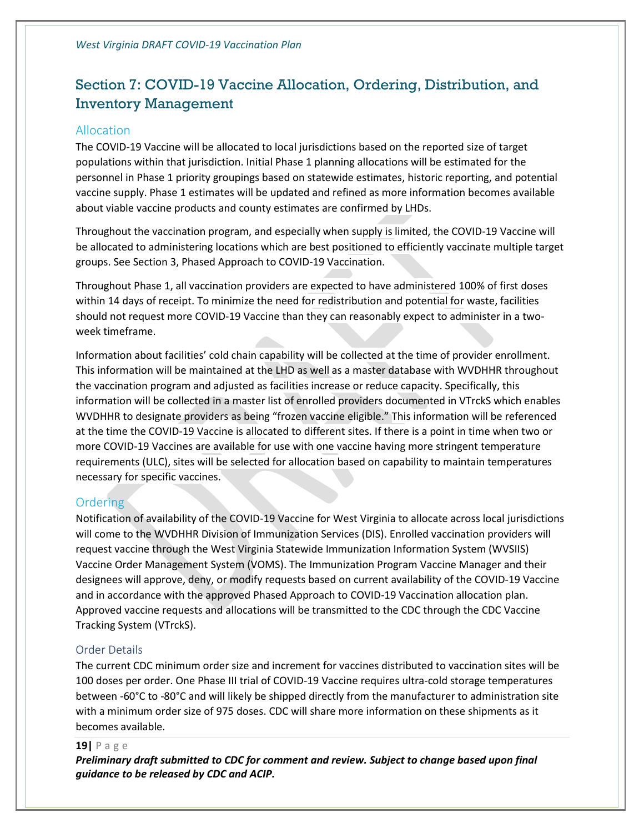## <span id="page-19-0"></span>Section 7: COVID-19 Vaccine Allocation, Ordering, Distribution, and Inventory Management

#### <span id="page-19-1"></span>Allocation

The COVID-19 Vaccine will be allocated to local jurisdictions based on the reported size of target populations within that jurisdiction. Initial Phase 1 planning allocations will be estimated for the personnel in Phase 1 priority groupings based on statewide estimates, historic reporting, and potential vaccine supply. Phase 1 estimates will be updated and refined as more information becomes available about viable vaccine products and county estimates are confirmed by LHDs.

Throughout the vaccination program, and especially when supply is limited, the COVID-19 Vaccine will be allocated to administering locations which are best positioned to efficiently vaccinate multiple target groups. See Section 3, Phased Approach to COVID-19 Vaccination.

Throughout Phase 1, all vaccination providers are expected to have administered 100% of first doses within 14 days of receipt. To minimize the need for redistribution and potential for waste, facilities should not request more COVID-19 Vaccine than they can reasonably expect to administer in a twoweek timeframe.

Information about facilities' cold chain capability will be collected at the time of provider enrollment. This information will be maintained at the LHD as well as a master database with WVDHHR throughout the vaccination program and adjusted as facilities increase or reduce capacity. Specifically, this information will be collected in a master list of enrolled providers documented in VTrckS which enables WVDHHR to designate providers as being "frozen vaccine eligible." This information will be referenced at the time the COVID-19 Vaccine is allocated to different sites. If there is a point in time when two or more COVID-19 Vaccines are available for use with one vaccine having more stringent temperature requirements (ULC), sites will be selected for allocation based on capability to maintain temperatures necessary for specific vaccines.

#### <span id="page-19-2"></span>**Ordering**

Notification of availability of the COVID-19 Vaccine for West Virginia to allocate across local jurisdictions will come to the WVDHHR Division of Immunization Services (DIS). Enrolled vaccination providers will request vaccine through the West Virginia Statewide Immunization Information System (WVSIIS) Vaccine Order Management System (VOMS). The Immunization Program Vaccine Manager and their designees will approve, deny, or modify requests based on current availability of the COVID-19 Vaccine and in accordance with the approved Phased Approach to COVID-19 Vaccination allocation plan. Approved vaccine requests and allocations will be transmitted to the CDC through the CDC Vaccine Tracking System (VTrckS).

#### <span id="page-19-3"></span>Order Details

The current CDC minimum order size and increment for vaccines distributed to vaccination sites will be 100 doses per order. One Phase III trial of COVID-19 Vaccine requires ultra-cold storage temperatures between -60°C to -80°C and will likely be shipped directly from the manufacturer to administration site with a minimum order size of 975 doses. CDC will share more information on these shipments as it becomes available.

#### **19|** P a g e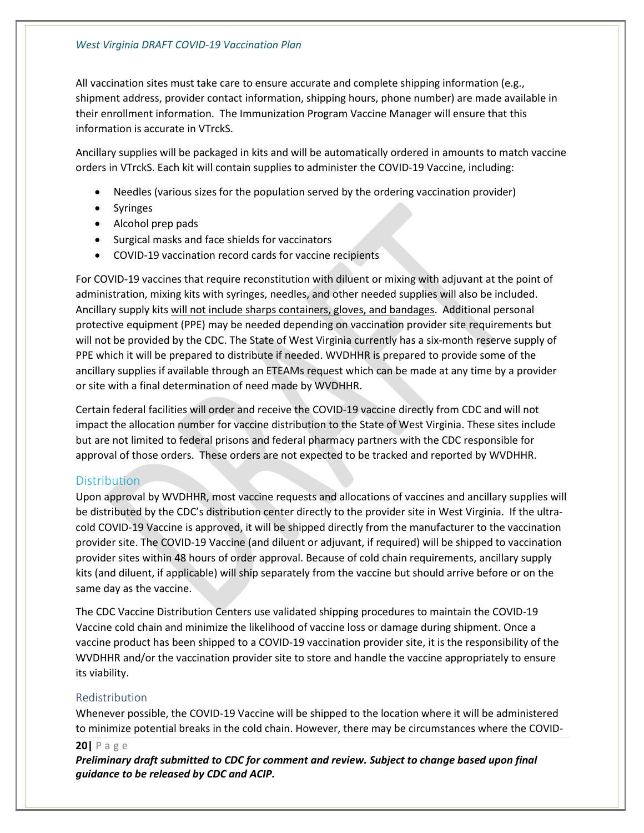All vaccination sites must take care to ensure accurate and complete shipping information (e.g., shipment address, provider contact information, shipping hours, phone number) are made available in their enrollment information. The Immunization Program Vaccine Manager will ensure that this information is accurate in VTrckS.

Ancillary supplies will be packaged in kits and will be automatically ordered in amounts to match vaccine orders in VTrckS. Each kit will contain supplies to administer the COVID-19 Vaccine, including:

- Needles (various sizes for the population served by the ordering vaccination provider)
- Syringes
- Alcohol prep pads
- Surgical masks and face shields for vaccinators
- COVID-19 vaccination record cards for vaccine recipients

For COVID-19 vaccines that require reconstitution with diluent or mixing with adjuvant at the point of administration, mixing kits with syringes, needles, and other needed supplies will also be included. Ancillary supply kits will not include sharps containers, gloves, and bandages. Additional personal protective equipment (PPE) may be needed depending on vaccination provider site requirements but will not be provided by the CDC. The State of West Virginia currently has a six-month reserve supply of PPE which it will be prepared to distribute if needed. WVDHHR is prepared to provide some of the ancillary supplies if available through an ETEAMs request which can be made at any time by a provider or site with a final determination of need made by WVDHHR.

Certain federal facilities will order and receive the COVID-19 vaccine directly from CDC and will not impact the allocation number for vaccine distribution to the State of West Virginia. These sites include but are not limited to federal prisons and federal pharmacy partners with the CDC responsible for approval of those orders. These orders are not expected to be tracked and reported by WVDHHR.

#### <span id="page-20-0"></span>**Distribution**

Upon approval by WVDHHR, most vaccine requests and allocations of vaccines and ancillary supplies will be distributed by the CDC's distribution center directly to the provider site in West Virginia. If the ultracold COVID-19 Vaccine is approved, it will be shipped directly from the manufacturer to the vaccination provider site. The COVID-19 Vaccine (and diluent or adjuvant, if required) will be shipped to vaccination provider sites within 48 hours of order approval. Because of cold chain requirements, ancillary supply kits (and diluent, if applicable) will ship separately from the vaccine but should arrive before or on the same day as the vaccine.

The CDC Vaccine Distribution Centers use validated shipping procedures to maintain the COVID-19 Vaccine cold chain and minimize the likelihood of vaccine loss or damage during shipment. Once a vaccine product has been shipped to a COVID-19 vaccination provider site, it is the responsibility of the WVDHHR and/or the vaccination provider site to store and handle the vaccine appropriately to ensure its viability.

#### <span id="page-20-1"></span>Redistribution

Whenever possible, the COVID-19 Vaccine will be shipped to the location where it will be administered to minimize potential breaks in the cold chain. However, there may be circumstances where the COVID-

#### **20|** P a g e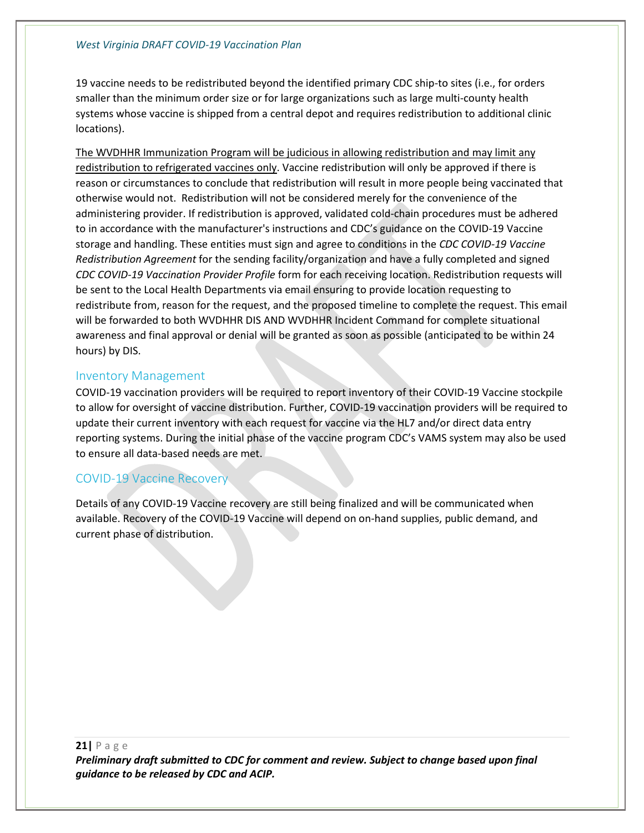#### *West Virginia DRAFT COVID-19 Vaccination Plan*

19 vaccine needs to be redistributed beyond the identified primary CDC ship-to sites (i.e., for orders smaller than the minimum order size or for large organizations such as large multi-county health systems whose vaccine is shipped from a central depot and requires redistribution to additional clinic locations).

The WVDHHR Immunization Program will be judicious in allowing redistribution and may limit any redistribution to refrigerated vaccines only. Vaccine redistribution will only be approved if there is reason or circumstances to conclude that redistribution will result in more people being vaccinated that otherwise would not. Redistribution will not be considered merely for the convenience of the administering provider. If redistribution is approved, validated cold-chain procedures must be adhered to in accordance with the manufacturer's instructions and CDC's guidance on the COVID-19 Vaccine storage and handling. These entities must sign and agree to conditions in the *CDC COVID-19 Vaccine Redistribution Agreement* for the sending facility/organization and have a fully completed and signed *CDC COVID-19 Vaccination Provider Profile* form for each receiving location. Redistribution requests will be sent to the Local Health Departments via email ensuring to provide location requesting to redistribute from, reason for the request, and the proposed timeline to complete the request. This email will be forwarded to both WVDHHR DIS AND WVDHHR Incident Command for complete situational awareness and final approval or denial will be granted as soon as possible (anticipated to be within 24 hours) by DIS.

#### <span id="page-21-0"></span>Inventory Management

COVID-19 vaccination providers will be required to report inventory of their COVID-19 Vaccine stockpile to allow for oversight of vaccine distribution. Further, COVID-19 vaccination providers will be required to update their current inventory with each request for vaccine via the HL7 and/or direct data entry reporting systems. During the initial phase of the vaccine program CDC's VAMS system may also be used to ensure all data-based needs are met.

#### <span id="page-21-1"></span>COVID-19 Vaccine Recovery

Details of any COVID-19 Vaccine recovery are still being finalized and will be communicated when available. Recovery of the COVID-19 Vaccine will depend on on-hand supplies, public demand, and current phase of distribution.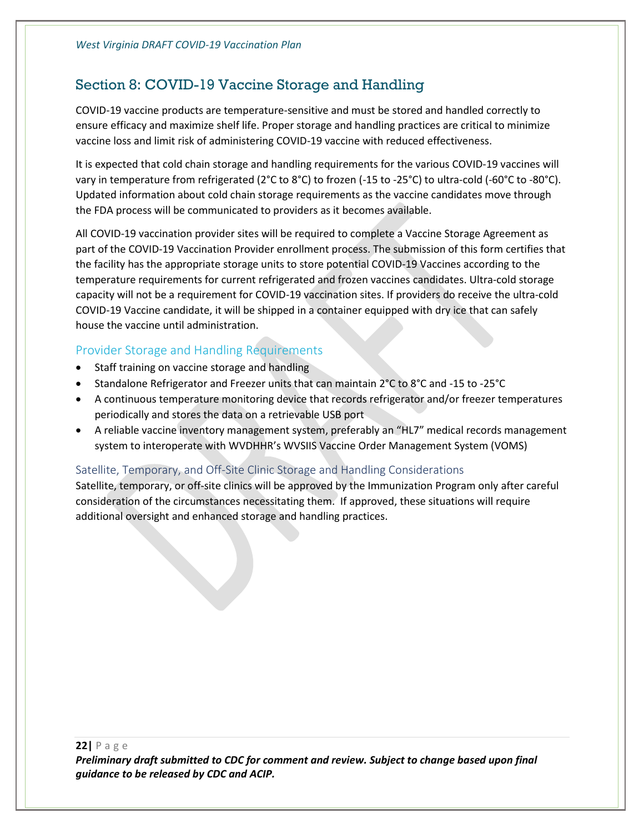## <span id="page-22-0"></span>Section 8: COVID-19 Vaccine Storage and Handling

COVID-19 vaccine products are temperature-sensitive and must be stored and handled correctly to ensure efficacy and maximize shelf life. Proper storage and handling practices are critical to minimize vaccine loss and limit risk of administering COVID-19 vaccine with reduced effectiveness.

It is expected that cold chain storage and handling requirements for the various COVID-19 vaccines will vary in temperature from refrigerated (2°C to 8°C) to frozen (-15 to -25°C) to ultra-cold (-60°C to -80°C). Updated information about cold chain storage requirements as the vaccine candidates move through the FDA process will be communicated to providers as it becomes available.

All COVID-19 vaccination provider sites will be required to complete a Vaccine Storage Agreement as part of the COVID-19 Vaccination Provider enrollment process. The submission of this form certifies that the facility has the appropriate storage units to store potential COVID-19 Vaccines according to the temperature requirements for current refrigerated and frozen vaccines candidates. Ultra-cold storage capacity will not be a requirement for COVID-19 vaccination sites. If providers do receive the ultra-cold COVID-19 Vaccine candidate, it will be shipped in a container equipped with dry ice that can safely house the vaccine until administration.

#### <span id="page-22-1"></span>Provider Storage and Handling Requirements

- Staff training on vaccine storage and handling
- Standalone Refrigerator and Freezer units that can maintain 2°C to 8°C and -15 to -25°C
- A continuous temperature monitoring device that records refrigerator and/or freezer temperatures periodically and stores the data on a retrievable USB port
- A reliable vaccine inventory management system, preferably an "HL7" medical records management system to interoperate with WVDHHR's WVSIIS Vaccine Order Management System (VOMS)

#### <span id="page-22-2"></span>Satellite, Temporary, and Off-Site Clinic Storage and Handling Considerations

Satellite, temporary, or off-site clinics will be approved by the Immunization Program only after careful consideration of the circumstances necessitating them. If approved, these situations will require additional oversight and enhanced storage and handling practices.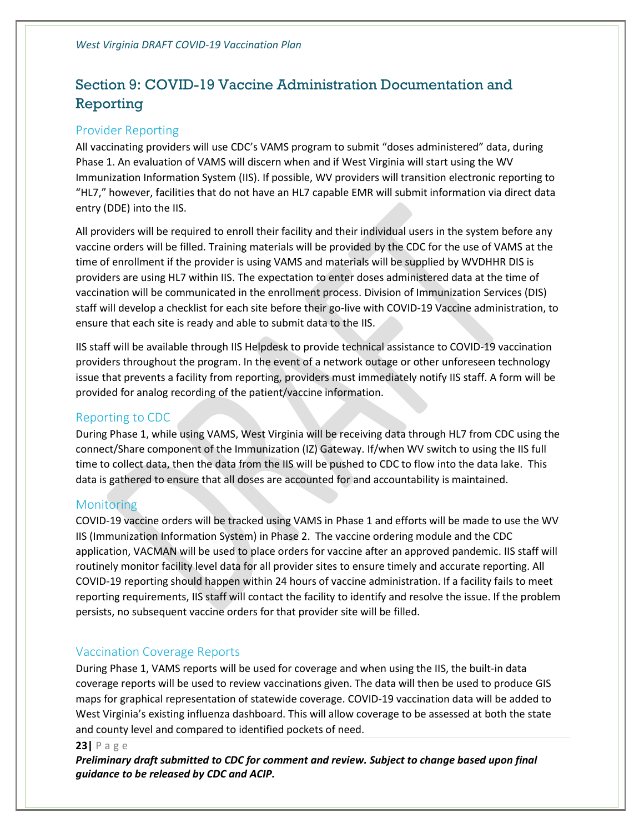## <span id="page-23-0"></span>Section 9: COVID-19 Vaccine Administration Documentation and Reporting

#### <span id="page-23-1"></span>Provider Reporting

All vaccinating providers will use CDC's VAMS program to submit "doses administered" data, during Phase 1. An evaluation of VAMS will discern when and if West Virginia will start using the WV Immunization Information System (IIS). If possible, WV providers will transition electronic reporting to "HL7," however, facilities that do not have an HL7 capable EMR will submit information via direct data entry (DDE) into the IIS.

All providers will be required to enroll their facility and their individual users in the system before any vaccine orders will be filled. Training materials will be provided by the CDC for the use of VAMS at the time of enrollment if the provider is using VAMS and materials will be supplied by WVDHHR DIS is providers are using HL7 within IIS. The expectation to enter doses administered data at the time of vaccination will be communicated in the enrollment process. Division of Immunization Services (DIS) staff will develop a checklist for each site before their go-live with COVID-19 Vaccine administration, to ensure that each site is ready and able to submit data to the IIS.

IIS staff will be available through IIS Helpdesk to provide technical assistance to COVID-19 vaccination providers throughout the program. In the event of a network outage or other unforeseen technology issue that prevents a facility from reporting, providers must immediately notify IIS staff. A form will be provided for analog recording of the patient/vaccine information.

#### <span id="page-23-2"></span>Reporting to CDC

During Phase 1, while using VAMS, West Virginia will be receiving data through HL7 from CDC using the connect/Share component of the Immunization (IZ) Gateway. If/when WV switch to using the IIS full time to collect data, then the data from the IIS will be pushed to CDC to flow into the data lake. This data is gathered to ensure that all doses are accounted for and accountability is maintained.

#### <span id="page-23-3"></span>**Monitoring**

COVID-19 vaccine orders will be tracked using VAMS in Phase 1 and efforts will be made to use the WV IIS (Immunization Information System) in Phase 2. The vaccine ordering module and the CDC application, VACMAN will be used to place orders for vaccine after an approved pandemic. IIS staff will routinely monitor facility level data for all provider sites to ensure timely and accurate reporting. All COVID-19 reporting should happen within 24 hours of vaccine administration. If a facility fails to meet reporting requirements, IIS staff will contact the facility to identify and resolve the issue. If the problem persists, no subsequent vaccine orders for that provider site will be filled.

#### <span id="page-23-4"></span>Vaccination Coverage Reports

During Phase 1, VAMS reports will be used for coverage and when using the IIS, the built-in data coverage reports will be used to review vaccinations given. The data will then be used to produce GIS maps for graphical representation of statewide coverage. COVID-19 vaccination data will be added to West Virginia's existing influenza dashboard. This will allow coverage to be assessed at both the state and county level and compared to identified pockets of need.

#### **23|** P a g e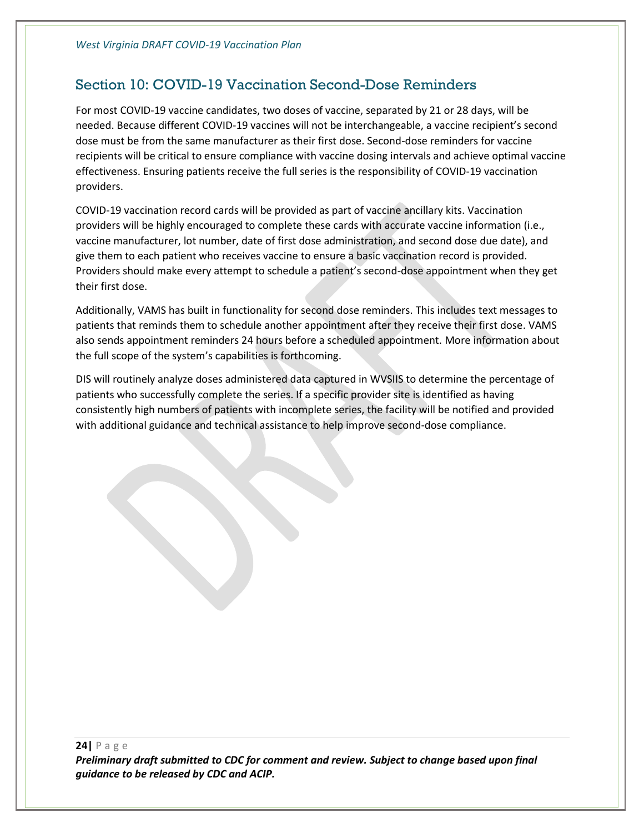## <span id="page-24-0"></span>Section 10: COVID-19 Vaccination Second-Dose Reminders

For most COVID-19 vaccine candidates, two doses of vaccine, separated by 21 or 28 days, will be needed. Because different COVID-19 vaccines will not be interchangeable, a vaccine recipient's second dose must be from the same manufacturer as their first dose. Second-dose reminders for vaccine recipients will be critical to ensure compliance with vaccine dosing intervals and achieve optimal vaccine effectiveness. Ensuring patients receive the full series is the responsibility of COVID-19 vaccination providers.

COVID-19 vaccination record cards will be provided as part of vaccine ancillary kits. Vaccination providers will be highly encouraged to complete these cards with accurate vaccine information (i.e., vaccine manufacturer, lot number, date of first dose administration, and second dose due date), and give them to each patient who receives vaccine to ensure a basic vaccination record is provided. Providers should make every attempt to schedule a patient's second-dose appointment when they get their first dose.

Additionally, VAMS has built in functionality for second dose reminders. This includes text messages to patients that reminds them to schedule another appointment after they receive their first dose. VAMS also sends appointment reminders 24 hours before a scheduled appointment. More information about the full scope of the system's capabilities is forthcoming.

DIS will routinely analyze doses administered data captured in WVSIIS to determine the percentage of patients who successfully complete the series. If a specific provider site is identified as having consistently high numbers of patients with incomplete series, the facility will be notified and provided with additional guidance and technical assistance to help improve second-dose compliance.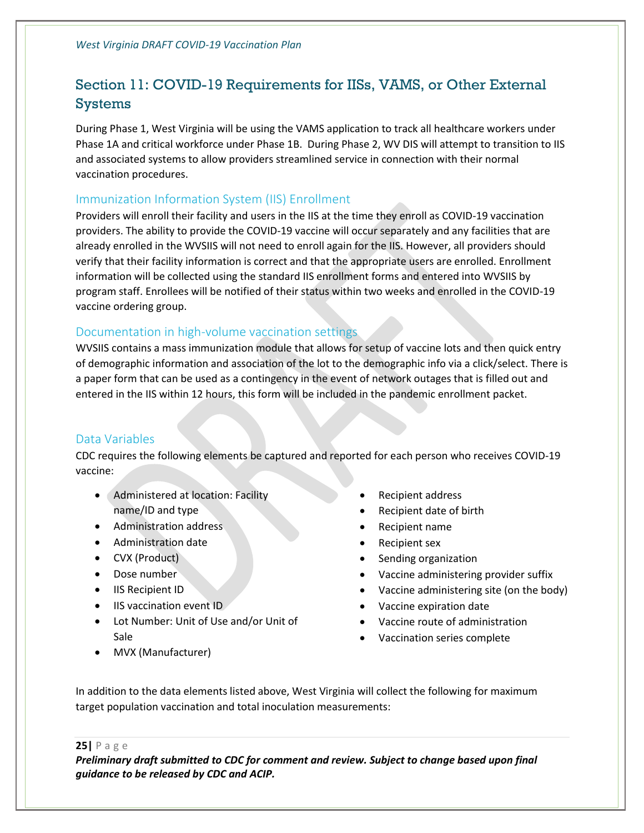## <span id="page-25-0"></span>Section 11: COVID-19 Requirements for IISs, VAMS, or Other External Systems

During Phase 1, West Virginia will be using the VAMS application to track all healthcare workers under Phase 1A and critical workforce under Phase 1B. During Phase 2, WV DIS will attempt to transition to IIS and associated systems to allow providers streamlined service in connection with their normal vaccination procedures.

#### <span id="page-25-1"></span>Immunization Information System (IIS) Enrollment

Providers will enroll their facility and users in the IIS at the time they enroll as COVID-19 vaccination providers. The ability to provide the COVID-19 vaccine will occur separately and any facilities that are already enrolled in the WVSIIS will not need to enroll again for the IIS. However, all providers should verify that their facility information is correct and that the appropriate users are enrolled. Enrollment information will be collected using the standard IIS enrollment forms and entered into WVSIIS by program staff. Enrollees will be notified of their status within two weeks and enrolled in the COVID-19 vaccine ordering group.

#### <span id="page-25-2"></span>Documentation in high-volume vaccination settings

WVSIIS contains a mass immunization module that allows for setup of vaccine lots and then quick entry of demographic information and association of the lot to the demographic info via a click/select. There is a paper form that can be used as a contingency in the event of network outages that is filled out and entered in the IIS within 12 hours, this form will be included in the pandemic enrollment packet.

#### <span id="page-25-3"></span>Data Variables

CDC requires the following elements be captured and reported for each person who receives COVID-19 vaccine:

- Administered at location: Facility name/ID and type
- Administration address
- Administration date
- CVX (Product)
- Dose number
- IIS Recipient ID
- IIS vaccination event ID
- Lot Number: Unit of Use and/or Unit of Sale
- MVX (Manufacturer)
- Recipient address
- Recipient date of birth
- Recipient name
- Recipient sex
- Sending organization
- Vaccine administering provider suffix
- Vaccine administering site (on the body)
- Vaccine expiration date
- Vaccine route of administration
- Vaccination series complete

In addition to the data elements listed above, West Virginia will collect the following for maximum target population vaccination and total inoculation measurements:

**25|** P a g e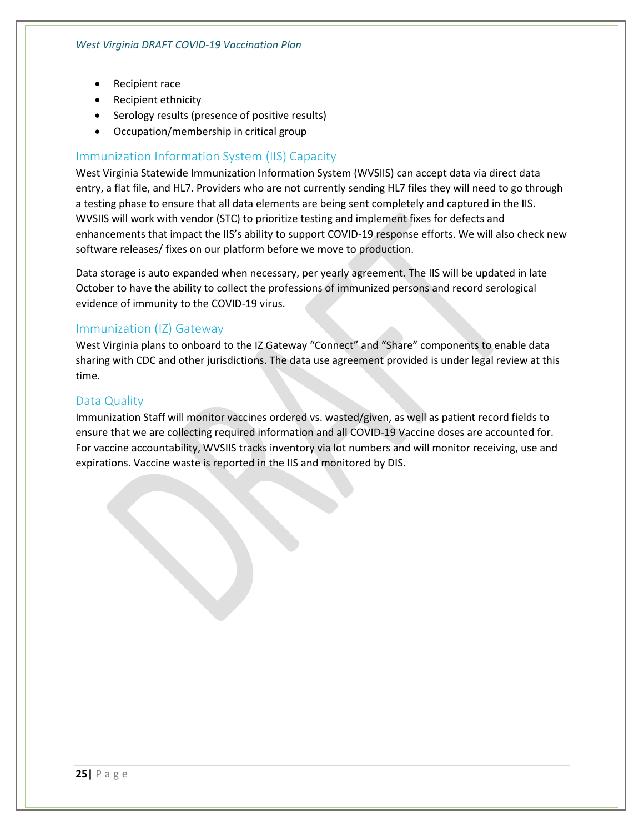- Recipient race
- Recipient ethnicity
- Serology results (presence of positive results)
- Occupation/membership in critical group

#### <span id="page-26-0"></span>Immunization Information System (IIS) Capacity

West Virginia Statewide Immunization Information System (WVSIIS) can accept data via direct data entry, a flat file, and HL7. Providers who are not currently sending HL7 files they will need to go through a testing phase to ensure that all data elements are being sent completely and captured in the IIS. WVSIIS will work with vendor (STC) to prioritize testing and implement fixes for defects and enhancements that impact the IIS's ability to support COVID-19 response efforts. We will also check new software releases/ fixes on our platform before we move to production.

Data storage is auto expanded when necessary, per yearly agreement. The IIS will be updated in late October to have the ability to collect the professions of immunized persons and record serological evidence of immunity to the COVID-19 virus.

#### <span id="page-26-1"></span>Immunization (IZ) Gateway

West Virginia plans to onboard to the IZ Gateway "Connect" and "Share" components to enable data sharing with CDC and other jurisdictions. The data use agreement provided is under legal review at this time.

#### <span id="page-26-2"></span>Data Quality

Immunization Staff will monitor vaccines ordered vs. wasted/given, as well as patient record fields to ensure that we are collecting required information and all COVID-19 Vaccine doses are accounted for. For vaccine accountability, WVSIIS tracks inventory via lot numbers and will monitor receiving, use and expirations. Vaccine waste is reported in the IIS and monitored by DIS.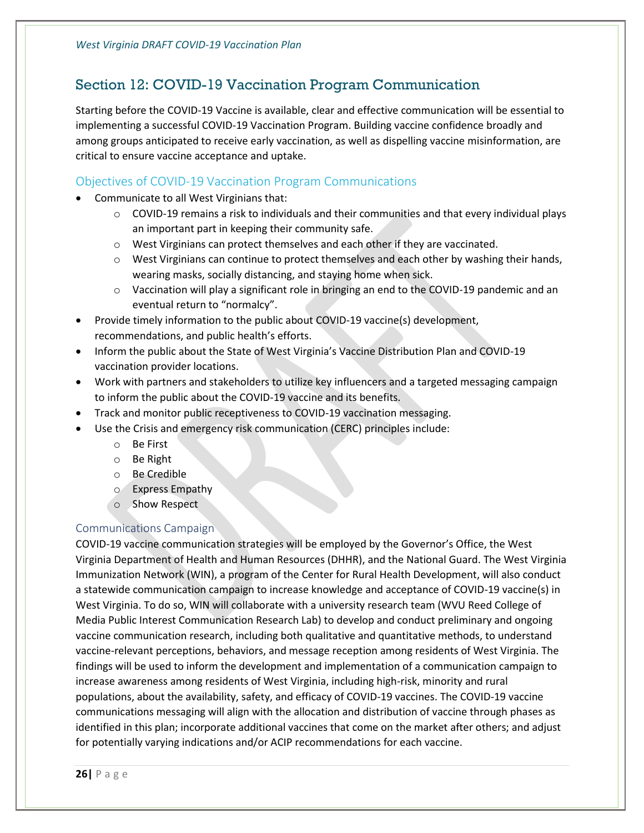## <span id="page-27-0"></span>Section 12: COVID-19 Vaccination Program Communication

Starting before the COVID-19 Vaccine is available, clear and effective communication will be essential to implementing a successful COVID-19 Vaccination Program. Building vaccine confidence broadly and among groups anticipated to receive early vaccination, as well as dispelling vaccine misinformation, are critical to ensure vaccine acceptance and uptake.

#### <span id="page-27-1"></span>Objectives of COVID-19 Vaccination Program Communications

- Communicate to all West Virginians that:
	- $\circ$  COVID-19 remains a risk to individuals and their communities and that every individual plays an important part in keeping their community safe.
	- $\circ$  West Virginians can protect themselves and each other if they are vaccinated.
	- $\circ$  West Virginians can continue to protect themselves and each other by washing their hands, wearing masks, socially distancing, and staying home when sick.
	- $\circ$  Vaccination will play a significant role in bringing an end to the COVID-19 pandemic and an eventual return to "normalcy".
- Provide timely information to the public about COVID-19 vaccine(s) development, recommendations, and public health's efforts.
- Inform the public about the State of West Virginia's Vaccine Distribution Plan and COVID-19 vaccination provider locations.
- Work with partners and stakeholders to utilize key influencers and a targeted messaging campaign to inform the public about the COVID-19 vaccine and its benefits.
- Track and monitor public receptiveness to COVID-19 vaccination messaging.
- Use the Crisis and emergency risk communication (CERC) principles include:
	- o Be First
	- o Be Right
	- o Be Credible
	- o Express Empathy
	- o Show Respect

#### <span id="page-27-2"></span>Communications Campaign

COVID-19 vaccine communication strategies will be employed by the Governor's Office, the West Virginia Department of Health and Human Resources (DHHR), and the National Guard. The West Virginia Immunization Network (WIN), a program of the Center for Rural Health Development, will also conduct a statewide communication campaign to increase knowledge and acceptance of COVID-19 vaccine(s) in West Virginia. To do so, WIN will collaborate with a university research team (WVU Reed College of Media Public Interest Communication Research Lab) to develop and conduct preliminary and ongoing vaccine communication research, including both qualitative and quantitative methods, to understand vaccine-relevant perceptions, behaviors, and message reception among residents of West Virginia. The findings will be used to inform the development and implementation of a communication campaign to increase awareness among residents of West Virginia, including high-risk, minority and rural populations, about the availability, safety, and efficacy of COVID-19 vaccines. The COVID-19 vaccine communications messaging will align with the allocation and distribution of vaccine through phases as identified in this plan; incorporate additional vaccines that come on the market after others; and adjust for potentially varying indications and/or ACIP recommendations for each vaccine.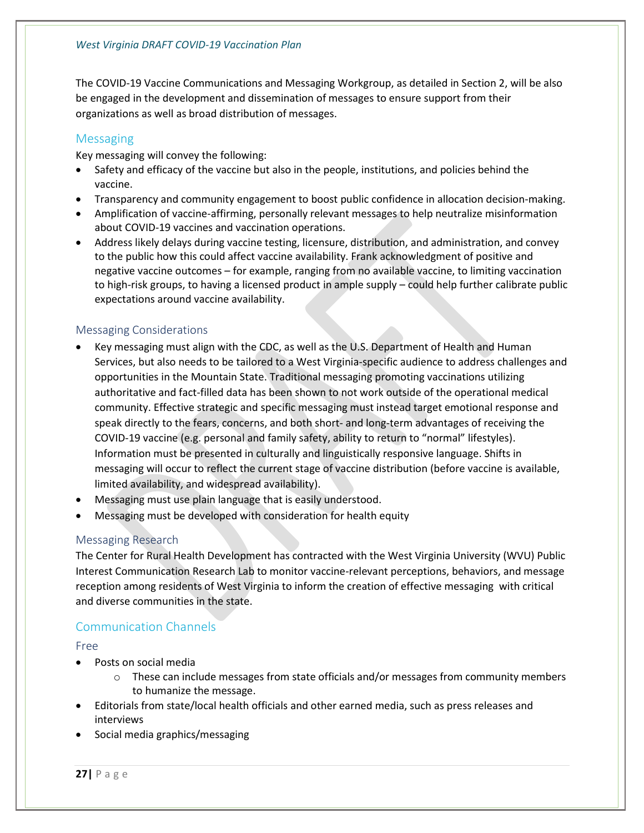The COVID-19 Vaccine Communications and Messaging Workgroup, as detailed in Section 2, will be also be engaged in the development and dissemination of messages to ensure support from their organizations as well as broad distribution of messages.

#### <span id="page-28-0"></span>**Messaging**

Key messaging will convey the following:

- Safety and efficacy of the vaccine but also in the people, institutions, and policies behind the vaccine.
- Transparency and community engagement to boost public confidence in allocation decision-making.
- Amplification of vaccine-affirming, personally relevant messages to help neutralize misinformation about COVID-19 vaccines and vaccination operations.
- Address likely delays during vaccine testing, licensure, distribution, and administration, and convey to the public how this could affect vaccine availability. Frank acknowledgment of positive and negative vaccine outcomes – for example, ranging from no available vaccine, to limiting vaccination to high-risk groups, to having a licensed product in ample supply – could help further calibrate public expectations around vaccine availability.

#### <span id="page-28-1"></span>Messaging Considerations

- Key messaging must align with the CDC, as well as the U.S. Department of Health and Human Services, but also needs to be tailored to a West Virginia-specific audience to address challenges and opportunities in the Mountain State. Traditional messaging promoting vaccinations utilizing authoritative and fact-filled data has been shown to not work outside of the operational medical community. Effective strategic and specific messaging must instead target emotional response and speak directly to the fears, concerns, and both short- and long-term advantages of receiving the COVID-19 vaccine (e.g. personal and family safety, ability to return to "normal" lifestyles). Information must be presented in culturally and linguistically responsive language. Shifts in messaging will occur to reflect the current stage of vaccine distribution (before vaccine is available, limited availability, and widespread availability).
- Messaging must use plain language that is easily understood.
- Messaging must be developed with consideration for health equity

#### <span id="page-28-2"></span>Messaging Research

The Center for Rural Health Development has contracted with the West Virginia University (WVU) Public Interest Communication Research Lab to monitor vaccine-relevant perceptions, behaviors, and message reception among residents of West Virginia to inform the creation of effective messaging with critical and diverse communities in the state.

#### <span id="page-28-3"></span>Communication Channels

#### <span id="page-28-4"></span>Free

- Posts on social media
	- $\circ$  These can include messages from state officials and/or messages from community members to humanize the message.
- Editorials from state/local health officials and other earned media, such as press releases and interviews
- Social media graphics/messaging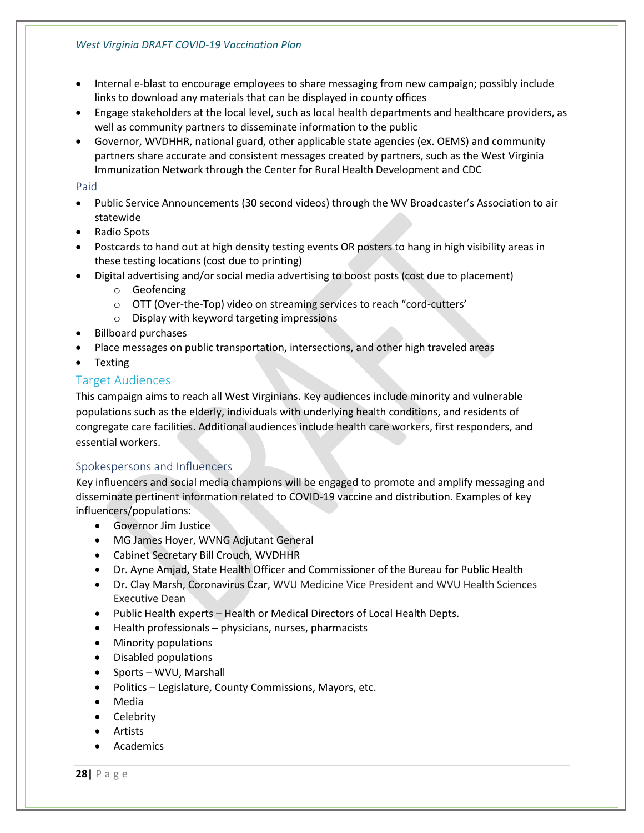- Internal e-blast to encourage employees to share messaging from new campaign; possibly include links to download any materials that can be displayed in county offices
- Engage stakeholders at the local level, such as local health departments and healthcare providers, as well as community partners to disseminate information to the public
- Governor, WVDHHR, national guard, other applicable state agencies (ex. OEMS) and community partners share accurate and consistent messages created by partners, such as the West Virginia Immunization Network through the Center for Rural Health Development and CDC

#### <span id="page-29-0"></span>Paid

- Public Service Announcements (30 second videos) through the WV Broadcaster's Association to air statewide
- Radio Spots
- Postcards to hand out at high density testing events OR posters to hang in high visibility areas in these testing locations (cost due to printing)
- Digital advertising and/or social media advertising to boost posts (cost due to placement)
	- o Geofencing
	- o OTT (Over-the-Top) video on streaming services to reach "cord-cutters'
	- o Display with keyword targeting impressions
- Billboard purchases
- Place messages on public transportation, intersections, and other high traveled areas
- Texting

#### <span id="page-29-1"></span>Target Audiences

This campaign aims to reach all West Virginians. Key audiences include minority and vulnerable populations such as the elderly, individuals with underlying health conditions, and residents of congregate care facilities. Additional audiences include health care workers, first responders, and essential workers.

#### <span id="page-29-2"></span>Spokespersons and Influencers

Key influencers and social media champions will be engaged to promote and amplify messaging and disseminate pertinent information related to COVID-19 vaccine and distribution. Examples of key influencers/populations:

- Governor Jim Justice
- MG James Hoyer, WVNG Adjutant General
- Cabinet Secretary Bill Crouch, WVDHHR
- Dr. Ayne Amjad, State Health Officer and Commissioner of the Bureau for Public Health
- Dr. Clay Marsh, Coronavirus Czar, WVU Medicine Vice President and WVU Health Sciences Executive Dean
- Public Health experts Health or Medical Directors of Local Health Depts.
- Health professionals physicians, nurses, pharmacists
- Minority populations
- Disabled populations
- Sports WVU, Marshall
- Politics Legislature, County Commissions, Mayors, etc.
- Media
- Celebrity
- Artists
- **Academics**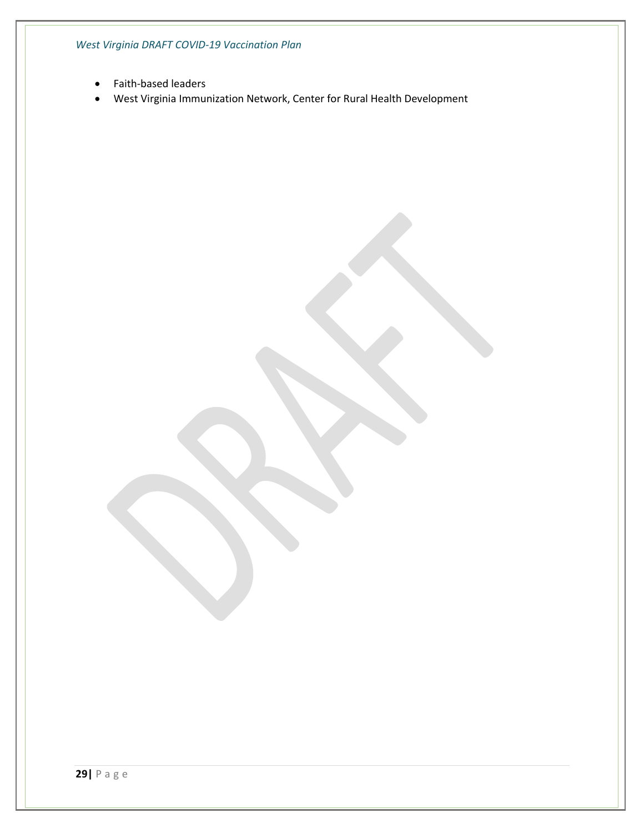*West Virginia DRAFT COVID-19 Vaccination Plan*

- Faith-based leaders
- West Virginia Immunization Network, Center for Rural Health Development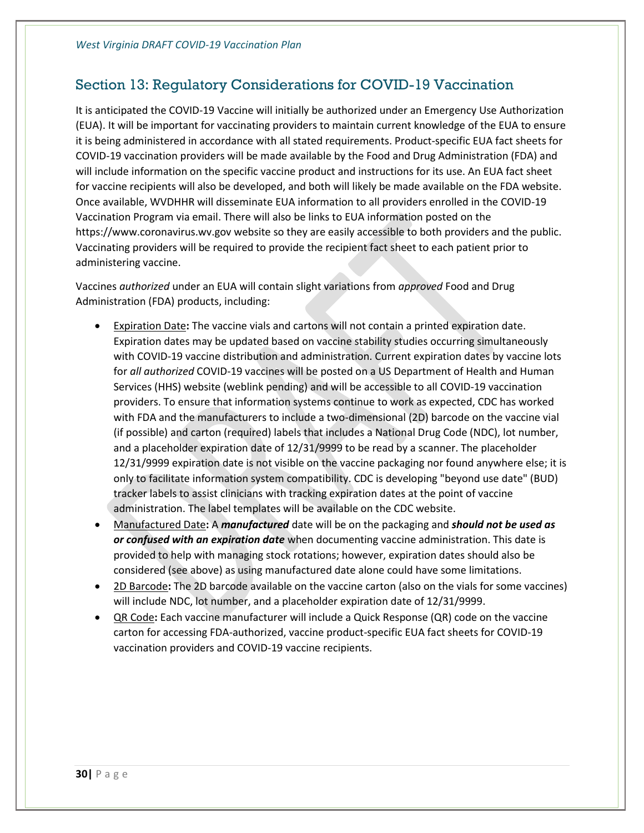### <span id="page-31-0"></span>Section 13: Regulatory Considerations for COVID-19 Vaccination

It is anticipated the COVID-19 Vaccine will initially be authorized under an Emergency Use Authorization (EUA). It will be important for vaccinating providers to maintain current knowledge of the EUA to ensure it is being administered in accordance with all stated requirements. Product-specific EUA fact sheets for COVID-19 vaccination providers will be made available by the Food and Drug Administration (FDA) and will include information on the specific vaccine product and instructions for its use. An EUA fact sheet for vaccine recipients will also be developed, and both will likely be made available on the FDA website. Once available, WVDHHR will disseminate EUA information to all providers enrolled in the COVID-19 Vaccination Program via email. There will also be links to EUA information posted on the https://www.coronavirus.wv.gov website so they are easily accessible to both providers and the public. Vaccinating providers will be required to provide the recipient fact sheet to each patient prior to administering vaccine.

Vaccines *authorized* under an EUA will contain slight variations from *approved* Food and Drug Administration (FDA) products, including:

- Expiration Date**:** The vaccine vials and cartons will not contain a printed expiration date. Expiration dates may be updated based on vaccine stability studies occurring simultaneously with COVID-19 vaccine distribution and administration. Current expiration dates by vaccine lots for *all authorized* COVID-19 vaccines will be posted on a US Department of Health and Human Services (HHS) website (weblink pending) and will be accessible to all COVID-19 vaccination providers. To ensure that information systems continue to work as expected, CDC has worked with FDA and the manufacturers to include a two-dimensional (2D) barcode on the vaccine vial (if possible) and carton (required) labels that includes a National Drug Code (NDC), lot number, and a placeholder expiration date of 12/31/9999 to be read by a scanner. The placeholder 12/31/9999 expiration date is not visible on the vaccine packaging nor found anywhere else; it is only to facilitate information system compatibility. CDC is developing "beyond use date" (BUD) tracker labels to assist clinicians with tracking expiration dates at the point of vaccine administration. The label templates will be available on the CDC website.
- Manufactured Date**:** A *manufactured* date will be on the packaging and *should not be used as or confused with an expiration date* when documenting vaccine administration. This date is provided to help with managing stock rotations; however, expiration dates should also be considered (see above) as using manufactured date alone could have some limitations.
- 2D Barcode**:** The 2D barcode available on the vaccine carton (also on the vials for some vaccines) will include NDC, lot number, and a placeholder expiration date of 12/31/9999.
- QR Code**:** Each vaccine manufacturer will include a Quick Response (QR) code on the vaccine carton for accessing FDA-authorized, vaccine product-specific EUA fact sheets for COVID-19 vaccination providers and COVID-19 vaccine recipients.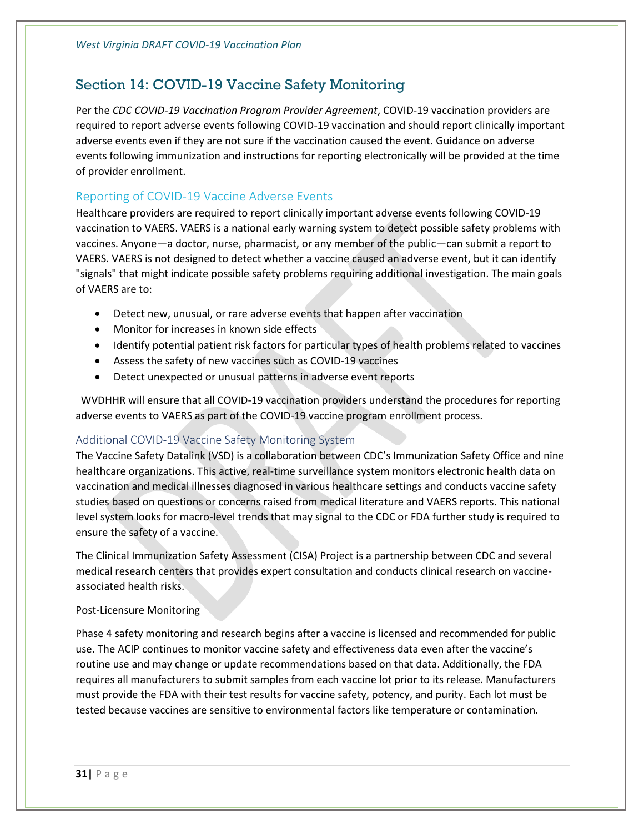## <span id="page-32-0"></span>Section 14: COVID-19 Vaccine Safety Monitoring

Per the *CDC COVID-19 Vaccination Program Provider Agreement*, COVID-19 vaccination providers are required to report adverse events following COVID-19 vaccination and should report clinically important adverse events even if they are not sure if the vaccination caused the event. Guidance on adverse events following immunization and instructions for reporting electronically will be provided at the time of provider enrollment.

#### <span id="page-32-1"></span>Reporting of COVID-19 Vaccine Adverse Events

Healthcare providers are required to report clinically important adverse events following COVID-19 vaccination to VAERS. VAERS is a national early warning system to detect possible safety problems with vaccines. Anyone—a doctor, nurse, pharmacist, or any member of the public—can submit a report to VAERS. VAERS is not designed to detect whether a vaccine caused an adverse event, but it can identify "signals" that might indicate possible safety problems requiring additional investigation. The main goals of VAERS are to:

- Detect new, unusual, or rare adverse events that happen after vaccination
- Monitor for increases in known side effects
- Identify potential patient risk factors for particular types of health problems related to vaccines
- Assess the safety of new vaccines such as COVID-19 vaccines
- Detect unexpected or unusual patterns in adverse event reports

WVDHHR will ensure that all COVID-19 vaccination providers understand the procedures for reporting adverse events to VAERS as part of the COVID-19 vaccine program enrollment process.

#### <span id="page-32-2"></span>Additional COVID-19 Vaccine Safety Monitoring System

The Vaccine Safety Datalink (VSD) is a collaboration between CDC's Immunization Safety Office and nine healthcare organizations. This active, real-time surveillance system monitors electronic health data on vaccination and medical illnesses diagnosed in various healthcare settings and conducts vaccine safety studies based on questions or concerns raised from medical literature and VAERS reports. This national level system looks for macro-level trends that may signal to the CDC or FDA further study is required to ensure the safety of a vaccine.

The Clinical Immunization Safety Assessment (CISA) Project is a partnership between CDC and several medical research centers that provides expert consultation and conducts clinical research on vaccineassociated health risks.

#### Post-Licensure Monitoring

Phase 4 safety monitoring and research begins after a vaccine is licensed and recommended for public use. The ACIP continues to monitor vaccine safety and effectiveness data even after the vaccine's routine use and may change or update recommendations based on that data. Additionally, the FDA requires all manufacturers to submit samples from each vaccine lot prior to its release. Manufacturers must provide the FDA with their test results for vaccine safety, potency, and purity. Each lot must be tested because vaccines are sensitive to environmental factors like temperature or contamination.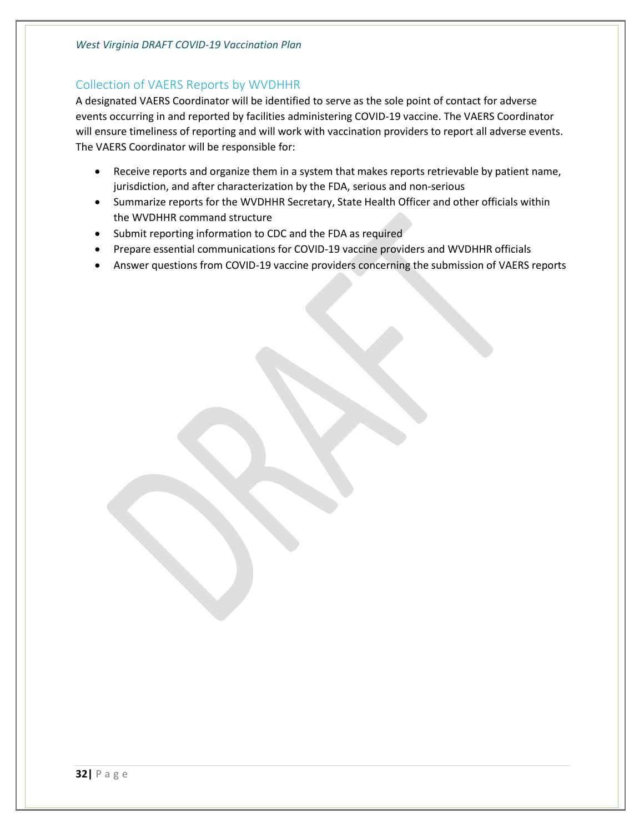#### <span id="page-33-0"></span>Collection of VAERS Reports by WVDHHR

A designated VAERS Coordinator will be identified to serve as the sole point of contact for adverse events occurring in and reported by facilities administering COVID-19 vaccine. The VAERS Coordinator will ensure timeliness of reporting and will work with vaccination providers to report all adverse events. The VAERS Coordinator will be responsible for:

- Receive reports and organize them in a system that makes reports retrievable by patient name, jurisdiction, and after characterization by the FDA, serious and non-serious
- Summarize reports for the WVDHHR Secretary, State Health Officer and other officials within the WVDHHR command structure
- Submit reporting information to CDC and the FDA as required
- Prepare essential communications for COVID-19 vaccine providers and WVDHHR officials
- Answer questions from COVID-19 vaccine providers concerning the submission of VAERS reports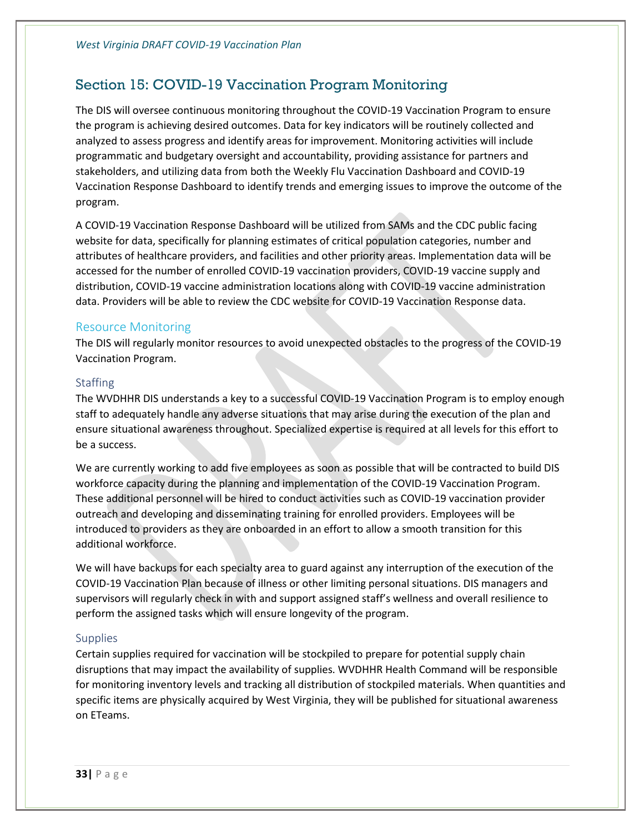## <span id="page-34-0"></span>Section 15: COVID-19 Vaccination Program Monitoring

The DIS will oversee continuous monitoring throughout the COVID-19 Vaccination Program to ensure the program is achieving desired outcomes. Data for key indicators will be routinely collected and analyzed to assess progress and identify areas for improvement. Monitoring activities will include programmatic and budgetary oversight and accountability, providing assistance for partners and stakeholders, and utilizing data from both the Weekly Flu Vaccination Dashboard and COVID-19 Vaccination Response Dashboard to identify trends and emerging issues to improve the outcome of the program.

A COVID-19 Vaccination Response Dashboard will be utilized from SAMs and the CDC public facing website for data, specifically for planning estimates of critical population categories, number and attributes of healthcare providers, and facilities and other priority areas. Implementation data will be accessed for the number of enrolled COVID-19 vaccination providers, COVID-19 vaccine supply and distribution, COVID-19 vaccine administration locations along with COVID-19 vaccine administration data. Providers will be able to review the CDC website for COVID-19 Vaccination Response data.

#### <span id="page-34-1"></span>Resource Monitoring

The DIS will regularly monitor resources to avoid unexpected obstacles to the progress of the COVID-19 Vaccination Program.

#### <span id="page-34-2"></span>**Staffing**

The WVDHHR DIS understands a key to a successful COVID-19 Vaccination Program is to employ enough staff to adequately handle any adverse situations that may arise during the execution of the plan and ensure situational awareness throughout. Specialized expertise is required at all levels for this effort to be a success.

We are currently working to add five employees as soon as possible that will be contracted to build DIS workforce capacity during the planning and implementation of the COVID-19 Vaccination Program. These additional personnel will be hired to conduct activities such as COVID-19 vaccination provider outreach and developing and disseminating training for enrolled providers. Employees will be introduced to providers as they are onboarded in an effort to allow a smooth transition for this additional workforce.

We will have backups for each specialty area to guard against any interruption of the execution of the COVID-19 Vaccination Plan because of illness or other limiting personal situations. DIS managers and supervisors will regularly check in with and support assigned staff's wellness and overall resilience to perform the assigned tasks which will ensure longevity of the program.

#### <span id="page-34-3"></span>**Supplies**

Certain supplies required for vaccination will be stockpiled to prepare for potential supply chain disruptions that may impact the availability of supplies. WVDHHR Health Command will be responsible for monitoring inventory levels and tracking all distribution of stockpiled materials. When quantities and specific items are physically acquired by West Virginia, they will be published for situational awareness on ETeams.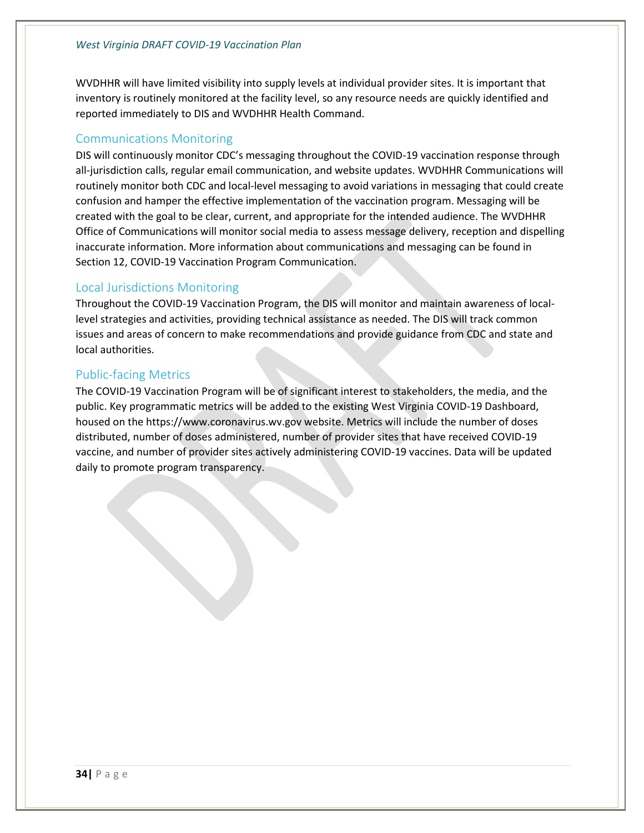WVDHHR will have limited visibility into supply levels at individual provider sites. It is important that inventory is routinely monitored at the facility level, so any resource needs are quickly identified and reported immediately to DIS and WVDHHR Health Command.

#### <span id="page-35-0"></span>Communications Monitoring

DIS will continuously monitor CDC's messaging throughout the COVID-19 vaccination response through all-jurisdiction calls, regular email communication, and website updates. WVDHHR Communications will routinely monitor both CDC and local-level messaging to avoid variations in messaging that could create confusion and hamper the effective implementation of the vaccination program. Messaging will be created with the goal to be clear, current, and appropriate for the intended audience. The WVDHHR Office of Communications will monitor social media to assess message delivery, reception and dispelling inaccurate information. More information about communications and messaging can be found in Section 12, COVID-19 Vaccination Program Communication.

#### <span id="page-35-1"></span>Local Jurisdictions Monitoring

Throughout the COVID-19 Vaccination Program, the DIS will monitor and maintain awareness of locallevel strategies and activities, providing technical assistance as needed. The DIS will track common issues and areas of concern to make recommendations and provide guidance from CDC and state and local authorities.

#### <span id="page-35-2"></span>Public-facing Metrics

The COVID-19 Vaccination Program will be of significant interest to stakeholders, the media, and the public. Key programmatic metrics will be added to the existing West Virginia COVID-19 Dashboard, housed on the https://www.coronavirus.wv.gov website. Metrics will include the number of doses distributed, number of doses administered, number of provider sites that have received COVID-19 vaccine, and number of provider sites actively administering COVID-19 vaccines. Data will be updated daily to promote program transparency.